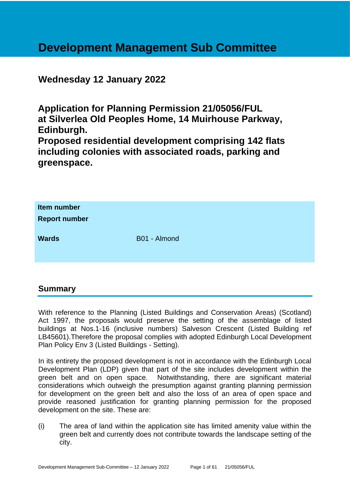# **Development Management Sub Committee**

# **Wednesday 12 January 2022**

**Application for Planning Permission 21/05056/FUL at Silverlea Old Peoples Home, 14 Muirhouse Parkway, Edinburgh.**

**Proposed residential development comprising 142 flats including colonies with associated roads, parking and greenspace.**

| Item number<br><b>Report number</b> |              |
|-------------------------------------|--------------|
| <b>Wards</b>                        | B01 - Almond |

# **Summary**

With reference to the Planning (Listed Buildings and Conservation Areas) (Scotland) Act 1997, the proposals would preserve the setting of the assemblage of listed buildings at Nos.1-16 (inclusive numbers) Salveson Crescent (Listed Building ref LB45601).Therefore the proposal complies with adopted Edinburgh Local Development Plan Policy Env 3 (Listed Buildings - Setting).

In its entirety the proposed development is not in accordance with the Edinburgh Local Development Plan (LDP) given that part of the site includes development within the green belt and on open space. Notwithstanding, there are significant material considerations which outweigh the presumption against granting planning permission for development on the green belt and also the loss of an area of open space and provide reasoned justification for granting planning permission for the proposed development on the site. These are:

(i) The area of land within the application site has limited amenity value within the green belt and currently does not contribute towards the landscape setting of the city.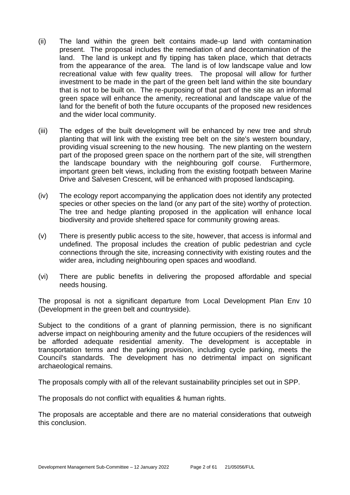- (ii) The land within the green belt contains made-up land with contamination present. The proposal includes the remediation of and decontamination of the land. The land is unkept and fly tipping has taken place, which that detracts from the appearance of the area. The land is of low landscape value and low recreational value with few quality trees. The proposal will allow for further investment to be made in the part of the green belt land within the site boundary that is not to be built on. The re-purposing of that part of the site as an informal green space will enhance the amenity, recreational and landscape value of the land for the benefit of both the future occupants of the proposed new residences and the wider local community.
- (iii) The edges of the built development will be enhanced by new tree and shrub planting that will link with the existing tree belt on the site's western boundary, providing visual screening to the new housing. The new planting on the western part of the proposed green space on the northern part of the site, will strengthen the landscape boundary with the neighbouring golf course. Furthermore, important green belt views, including from the existing footpath between Marine Drive and Salvesen Crescent, will be enhanced with proposed landscaping.
- (iv) The ecology report accompanying the application does not identify any protected species or other species on the land (or any part of the site) worthy of protection. The tree and hedge planting proposed in the application will enhance local biodiversity and provide sheltered space for community growing areas.
- (v) There is presently public access to the site, however, that access is informal and undefined. The proposal includes the creation of public pedestrian and cycle connections through the site, increasing connectivity with existing routes and the wider area, including neighbouring open spaces and woodland.
- (vi) There are public benefits in delivering the proposed affordable and special needs housing.

The proposal is not a significant departure from Local Development Plan Env 10 (Development in the green belt and countryside).

Subject to the conditions of a grant of planning permission, there is no significant adverse impact on neighbouring amenity and the future occupiers of the residences will be afforded adequate residential amenity. The development is acceptable in transportation terms and the parking provision, including cycle parking, meets the Council's standards. The development has no detrimental impact on significant archaeological remains.

The proposals comply with all of the relevant sustainability principles set out in SPP.

The proposals do not conflict with equalities & human rights.

The proposals are acceptable and there are no material considerations that outweigh this conclusion.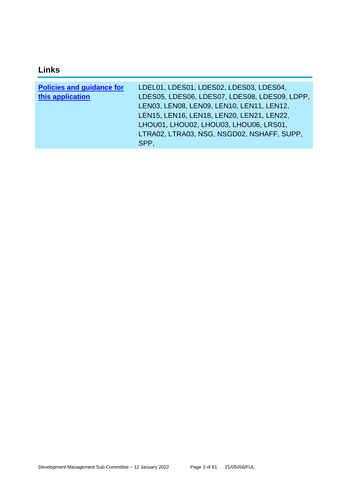# **Links**

| <b>Policies and guidance for</b><br>this application | LDEL01, LDES01, LDES02, LDES03, LDES04,<br>LDES05, LDES06, LDES07, LDES08, LDES09, LDPP,<br>LEN03, LEN08, LEN09, LEN10, LEN11, LEN12,<br>LEN15, LEN16, LEN18, LEN20, LEN21, LEN22,<br>LHOU01, LHOU02, LHOU03, LHOU06, LRS01, |
|------------------------------------------------------|------------------------------------------------------------------------------------------------------------------------------------------------------------------------------------------------------------------------------|
|                                                      | LTRA02, LTRA03, NSG, NSGD02, NSHAFF, SUPP,<br>SPP.                                                                                                                                                                           |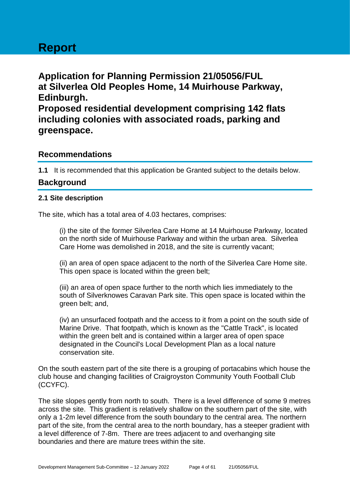# **Report**

**Application for Planning Permission 21/05056/FUL at Silverlea Old Peoples Home, 14 Muirhouse Parkway, Edinburgh. Proposed residential development comprising 142 flats including colonies with associated roads, parking and greenspace.**

# **Recommendations**

**1.1** It is recommended that this application be Granted subject to the details below.

# **Background**

# **2.1 Site description**

The site, which has a total area of 4.03 hectares, comprises:

(i) the site of the former Silverlea Care Home at 14 Muirhouse Parkway, located on the north side of Muirhouse Parkway and within the urban area. Silverlea Care Home was demolished in 2018, and the site is currently vacant;

(ii) an area of open space adjacent to the north of the Silverlea Care Home site. This open space is located within the green belt;

(iii) an area of open space further to the north which lies immediately to the south of Silverknowes Caravan Park site. This open space is located within the green belt; and,

(iv) an unsurfaced footpath and the access to it from a point on the south side of Marine Drive. That footpath, which is known as the "Cattle Track", is located within the green belt and is contained within a larger area of open space designated in the Council's Local Development Plan as a local nature conservation site.

On the south eastern part of the site there is a grouping of portacabins which house the club house and changing facilities of Craigroyston Community Youth Football Club (CCYFC).

The site slopes gently from north to south. There is a level difference of some 9 metres across the site. This gradient is relatively shallow on the southern part of the site, with only a 1-2m level difference from the south boundary to the central area. The northern part of the site, from the central area to the north boundary, has a steeper gradient with a level difference of 7-8m. There are trees adjacent to and overhanging site boundaries and there are mature trees within the site.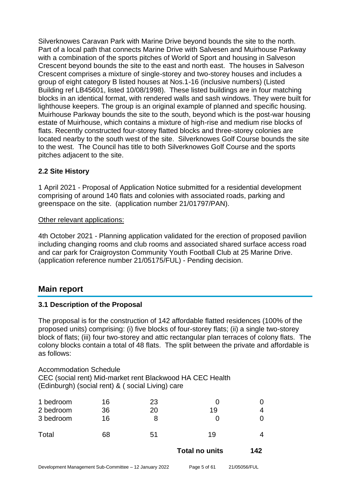Silverknowes Caravan Park with Marine Drive beyond bounds the site to the north. Part of a local path that connects Marine Drive with Salvesen and Muirhouse Parkway with a combination of the sports pitches of World of Sport and housing in Salveson Crescent beyond bounds the site to the east and north east. The houses in Salveson Crescent comprises a mixture of single-storey and two-storey houses and includes a group of eight category B listed houses at Nos.1-16 (inclusive numbers) (Listed Building ref LB45601, listed 10/08/1998). These listed buildings are in four matching blocks in an identical format, with rendered walls and sash windows. They were built for lighthouse keepers. The group is an original example of planned and specific housing. Muirhouse Parkway bounds the site to the south, beyond which is the post-war housing estate of Muirhouse, which contains a mixture of high-rise and medium rise blocks of flats. Recently constructed four-storey flatted blocks and three-storey colonies are located nearby to the south west of the site. Silverknowes Golf Course bounds the site to the west. The Council has title to both Silverknowes Golf Course and the sports pitches adjacent to the site.

# **2.2 Site History**

1 April 2021 - Proposal of Application Notice submitted for a residential development comprising of around 140 flats and colonies with associated roads, parking and greenspace on the site. (application number 21/01797/PAN).

#### Other relevant applications:

4th October 2021 - Planning application validated for the erection of proposed pavilion including changing rooms and club rooms and associated shared surface access road and car park for Craigroyston Community Youth Football Club at 25 Marine Drive. (application reference number 21/05175/FUL) - Pending decision.

# **Main report**

# **3.1 Description of the Proposal**

The proposal is for the construction of 142 affordable flatted residences (100% of the proposed units) comprising: (i) five blocks of four-storey flats; (ii) a single two-storey block of flats; (iii) four two-storey and attic rectangular plan terraces of colony flats. The colony blocks contain a total of 48 flats. The split between the private and affordable is as follows:

Accommodation Schedule CEC (social rent) Mid-market rent Blackwood HA CEC Health (Edinburgh) (social rent) & ( social Living) care

| 1 bedroom | 16 | 23 |    |  |
|-----------|----|----|----|--|
| 2 bedroom | 36 | 20 | 19 |  |
| 3 bedroom | 16 |    |    |  |
| Total     | 68 | 51 | 19 |  |

**Total no units 142**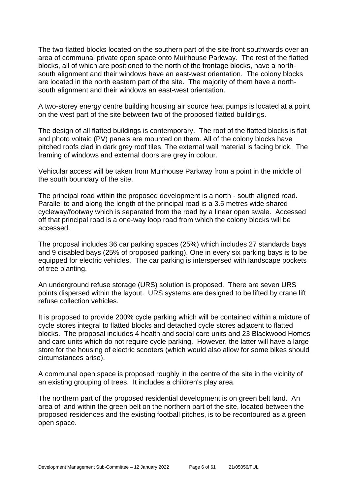The two flatted blocks located on the southern part of the site front southwards over an area of communal private open space onto Muirhouse Parkway. The rest of the flatted blocks, all of which are positioned to the north of the frontage blocks, have a northsouth alignment and their windows have an east-west orientation. The colony blocks are located in the north eastern part of the site. The majority of them have a northsouth alignment and their windows an east-west orientation.

A two-storey energy centre building housing air source heat pumps is located at a point on the west part of the site between two of the proposed flatted buildings.

The design of all flatted buildings is contemporary. The roof of the flatted blocks is flat and photo voltaic (PV) panels are mounted on them. All of the colony blocks have pitched roofs clad in dark grey roof tiles. The external wall material is facing brick. The framing of windows and external doors are grey in colour.

Vehicular access will be taken from Muirhouse Parkway from a point in the middle of the south boundary of the site.

The principal road within the proposed development is a north - south aligned road. Parallel to and along the length of the principal road is a 3.5 metres wide shared cycleway/footway which is separated from the road by a linear open swale. Accessed off that principal road is a one-way loop road from which the colony blocks will be accessed.

The proposal includes 36 car parking spaces (25%) which includes 27 standards bays and 9 disabled bays (25% of proposed parking). One in every six parking bays is to be equipped for electric vehicles. The car parking is interspersed with landscape pockets of tree planting.

An underground refuse storage (URS) solution is proposed. There are seven URS points dispersed within the layout. URS systems are designed to be lifted by crane lift refuse collection vehicles.

It is proposed to provide 200% cycle parking which will be contained within a mixture of cycle stores integral to flatted blocks and detached cycle stores adjacent to flatted blocks. The proposal includes 4 health and social care units and 23 Blackwood Homes and care units which do not require cycle parking. However, the latter will have a large store for the housing of electric scooters (which would also allow for some bikes should circumstances arise).

A communal open space is proposed roughly in the centre of the site in the vicinity of an existing grouping of trees. It includes a children's play area.

The northern part of the proposed residential development is on green belt land. An area of land within the green belt on the northern part of the site, located between the proposed residences and the existing football pitches, is to be recontoured as a green open space.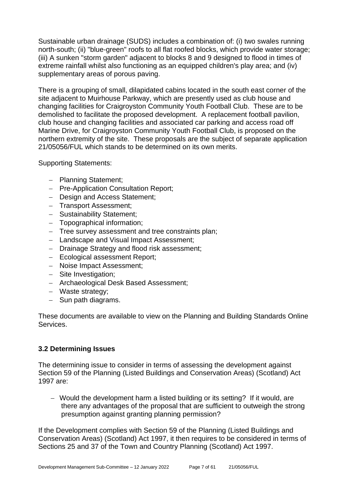Sustainable urban drainage (SUDS) includes a combination of: (i) two swales running north-south; (ii) "blue-green" roofs to all flat roofed blocks, which provide water storage; (iii) A sunken "storm garden" adjacent to blocks 8 and 9 designed to flood in times of extreme rainfall whilst also functioning as an equipped children's play area; and (iv) supplementary areas of porous paving.

There is a grouping of small, dilapidated cabins located in the south east corner of the site adjacent to Muirhouse Parkway, which are presently used as club house and changing facilities for Craigroyston Community Youth Football Club. These are to be demolished to facilitate the proposed development. A replacement football pavilion, club house and changing facilities and associated car parking and access road off Marine Drive, for Craigroyston Community Youth Football Club, is proposed on the northern extremity of the site. These proposals are the subject of separate application 21/05056/FUL which stands to be determined on its own merits.

Supporting Statements:

- − Planning Statement;
- − Pre-Application Consultation Report;
- − Design and Access Statement;
- − Transport Assessment;
- − Sustainability Statement;
- − Topographical information;
- − Tree survey assessment and tree constraints plan;
- − Landscape and Visual Impact Assessment;
- − Drainage Strategy and flood risk assessment;
- − Ecological assessment Report;
- − Noise Impact Assessment;
- − Site Investigation;
- − Archaeological Desk Based Assessment;
- − Waste strategy;
- − Sun path diagrams.

These documents are available to view on the Planning and Building Standards Online Services.

#### **3.2 Determining Issues**

The determining issue to consider in terms of assessing the development against Section 59 of the Planning (Listed Buildings and Conservation Areas) (Scotland) Act 1997 are:

− Would the development harm a listed building or its setting? If it would, are there any advantages of the proposal that are sufficient to outweigh the strong presumption against granting planning permission?

If the Development complies with Section 59 of the Planning (Listed Buildings and Conservation Areas) (Scotland) Act 1997, it then requires to be considered in terms of Sections 25 and 37 of the Town and Country Planning (Scotland) Act 1997.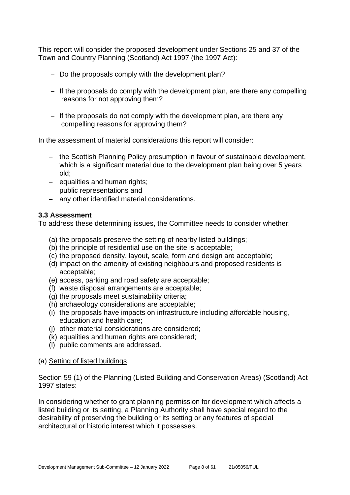This report will consider the proposed development under Sections 25 and 37 of the Town and Country Planning (Scotland) Act 1997 (the 1997 Act):

- − Do the proposals comply with the development plan?
- − If the proposals do comply with the development plan, are there any compelling reasons for not approving them?
- − If the proposals do not comply with the development plan, are there any compelling reasons for approving them?

In the assessment of material considerations this report will consider:

- − the Scottish Planning Policy presumption in favour of sustainable development, which is a significant material due to the development plan being over 5 years old;
- − equalities and human rights;
- − public representations and
- − any other identified material considerations.

# **3.3 Assessment**

To address these determining issues, the Committee needs to consider whether:

- (a) the proposals preserve the setting of nearby listed buildings;
- (b) the principle of residential use on the site is acceptable;
- (c) the proposed density, layout, scale, form and design are acceptable;
- (d) impact on the amenity of existing neighbours and proposed residents is acceptable;
- (e) access, parking and road safety are acceptable;
- (f) waste disposal arrangements are acceptable;
- (g) the proposals meet sustainability criteria;
- (h) archaeology considerations are acceptable;
- (i) the proposals have impacts on infrastructure including affordable housing, education and health care;
- (j) other material considerations are considered;
- (k) equalities and human rights are considered;
- (l) public comments are addressed.

#### (a) Setting of listed buildings

Section 59 (1) of the Planning (Listed Building and Conservation Areas) (Scotland) Act 1997 states:

In considering whether to grant planning permission for development which affects a listed building or its setting, a Planning Authority shall have special regard to the desirability of preserving the building or its setting or any features of special architectural or historic interest which it possesses.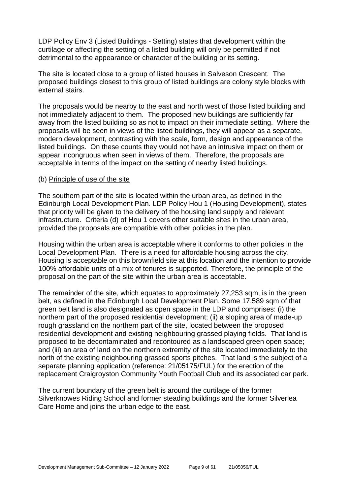LDP Policy Env 3 (Listed Buildings - Setting) states that development within the curtilage or affecting the setting of a listed building will only be permitted if not detrimental to the appearance or character of the building or its setting.

The site is located close to a group of listed houses in Salveson Crescent. The proposed buildings closest to this group of listed buildings are colony style blocks with external stairs.

The proposals would be nearby to the east and north west of those listed building and not immediately adjacent to them. The proposed new buildings are sufficiently far away from the listed building so as not to impact on their immediate setting. Where the proposals will be seen in views of the listed buildings, they will appear as a separate, modern development, contrasting with the scale, form, design and appearance of the listed buildings. On these counts they would not have an intrusive impact on them or appear incongruous when seen in views of them. Therefore, the proposals are acceptable in terms of the impact on the setting of nearby listed buildings.

#### (b) Principle of use of the site

The southern part of the site is located within the urban area, as defined in the Edinburgh Local Development Plan. LDP Policy Hou 1 (Housing Development), states that priority will be given to the delivery of the housing land supply and relevant infrastructure. Criteria (d) of Hou 1 covers other suitable sites in the urban area, provided the proposals are compatible with other policies in the plan.

Housing within the urban area is acceptable where it conforms to other policies in the Local Development Plan. There is a need for affordable housing across the city. Housing is acceptable on this brownfield site at this location and the intention to provide 100% affordable units of a mix of tenures is supported. Therefore, the principle of the proposal on the part of the site within the urban area is acceptable.

The remainder of the site, which equates to approximately 27,253 sqm, is in the green belt, as defined in the Edinburgh Local Development Plan. Some 17,589 sqm of that green belt land is also designated as open space in the LDP and comprises: (i) the northern part of the proposed residential development; (ii) a sloping area of made-up rough grassland on the northern part of the site, located between the proposed residential development and existing neighbouring grassed playing fields. That land is proposed to be decontaminated and recontoured as a landscaped green open space; and (iii) an area of land on the northern extremity of the site located immediately to the north of the existing neighbouring grassed sports pitches. That land is the subject of a separate planning application (reference: 21/05175/FUL) for the erection of the replacement Craigroyston Community Youth Football Club and its associated car park.

The current boundary of the green belt is around the curtilage of the former Silverknowes Riding School and former steading buildings and the former Silverlea Care Home and joins the urban edge to the east.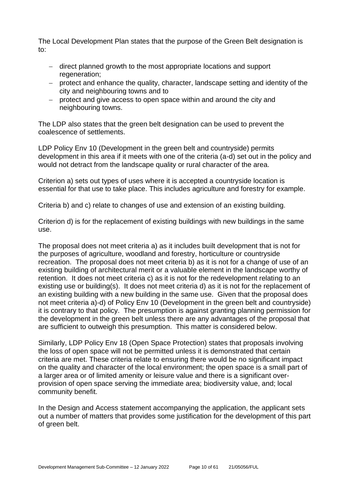The Local Development Plan states that the purpose of the Green Belt designation is to:

- − direct planned growth to the most appropriate locations and support regeneration;
- − protect and enhance the quality, character, landscape setting and identity of the city and neighbouring towns and to
- − protect and give access to open space within and around the city and neighbouring towns.

The LDP also states that the green belt designation can be used to prevent the coalescence of settlements.

LDP Policy Env 10 (Development in the green belt and countryside) permits development in this area if it meets with one of the criteria (a-d) set out in the policy and would not detract from the landscape quality or rural character of the area.

Criterion a) sets out types of uses where it is accepted a countryside location is essential for that use to take place. This includes agriculture and forestry for example.

Criteria b) and c) relate to changes of use and extension of an existing building.

Criterion d) is for the replacement of existing buildings with new buildings in the same use.

The proposal does not meet criteria a) as it includes built development that is not for the purposes of agriculture, woodland and forestry, horticulture or countryside recreation. The proposal does not meet criteria b) as it is not for a change of use of an existing building of architectural merit or a valuable element in the landscape worthy of retention. It does not meet criteria c) as it is not for the redevelopment relating to an existing use or building(s). It does not meet criteria d) as it is not for the replacement of an existing building with a new building in the same use. Given that the proposal does not meet criteria a)-d) of Policy Env 10 (Development in the green belt and countryside) it is contrary to that policy. The presumption is against granting planning permission for the development in the green belt unless there are any advantages of the proposal that are sufficient to outweigh this presumption. This matter is considered below.

Similarly, LDP Policy Env 18 (Open Space Protection) states that proposals involving the loss of open space will not be permitted unless it is demonstrated that certain criteria are met. These criteria relate to ensuring there would be no significant impact on the quality and character of the local environment; the open space is a small part of a larger area or of limited amenity or leisure value and there is a significant overprovision of open space serving the immediate area; biodiversity value, and; local community benefit.

In the Design and Access statement accompanying the application, the applicant sets out a number of matters that provides some justification for the development of this part of green belt.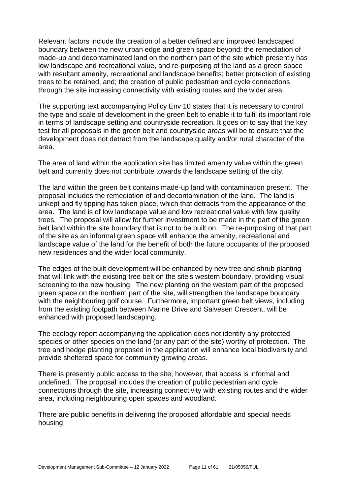Relevant factors include the creation of a better defined and improved landscaped boundary between the new urban edge and green space beyond; the remediation of made-up and decontaminated land on the northern part of the site which presently has low landscape and recreational value, and re-purposing of the land as a green space with resultant amenity, recreational and landscape benefits; better protection of existing trees to be retained, and; the creation of public pedestrian and cycle connections through the site increasing connectivity with existing routes and the wider area.

The supporting text accompanying Policy Env 10 states that it is necessary to control the type and scale of development in the green belt to enable it to fulfil its important role in terms of landscape setting and countryside recreation. It goes on to say that the key test for all proposals in the green belt and countryside areas will be to ensure that the development does not detract from the landscape quality and/or rural character of the area.

The area of land within the application site has limited amenity value within the green belt and currently does not contribute towards the landscape setting of the city.

The land within the green belt contains made-up land with contamination present. The proposal includes the remediation of and decontamination of the land. The land is unkept and fly tipping has taken place, which that detracts from the appearance of the area. The land is of low landscape value and low recreational value with few quality trees. The proposal will allow for further investment to be made in the part of the green belt land within the site boundary that is not to be built on. The re-purposing of that part of the site as an informal green space will enhance the amenity, recreational and landscape value of the land for the benefit of both the future occupants of the proposed new residences and the wider local community.

The edges of the built development will be enhanced by new tree and shrub planting that will link with the existing tree belt on the site's western boundary, providing visual screening to the new housing. The new planting on the western part of the proposed green space on the northern part of the site, will strengthen the landscape boundary with the neighbouring golf course. Furthermore, important green belt views, including from the existing footpath between Marine Drive and Salvesen Crescent, will be enhanced with proposed landscaping.

The ecology report accompanying the application does not identify any protected species or other species on the land (or any part of the site) worthy of protection. The tree and hedge planting proposed in the application will enhance local biodiversity and provide sheltered space for community growing areas.

There is presently public access to the site, however, that access is informal and undefined. The proposal includes the creation of public pedestrian and cycle connections through the site, increasing connectivity with existing routes and the wider area, including neighbouring open spaces and woodland.

There are public benefits in delivering the proposed affordable and special needs housing.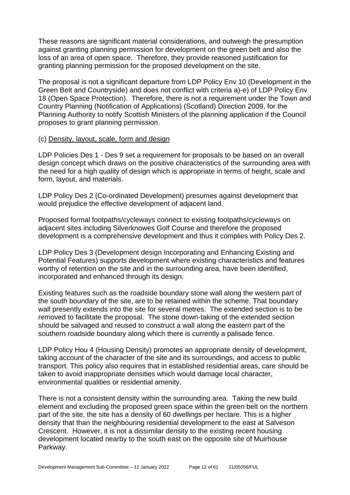These reasons are significant material considerations, and outweigh the presumption against granting planning permission for development on the green belt and also the loss of an area of open space. Therefore, they provide reasoned justification for granting planning permission for the proposed development on the site.

The proposal is not a significant departure from LDP Policy Env 10 (Development in the Green Belt and Countryside) and does not conflict with criteria a)-e) of LDP Policy Env 18 (Open Space Protection). Therefore, there is not a requirement under the Town and Country Planning (Notification of Applications) (Scotland) Direction 2009, for the Planning Authority to notify Scottish Ministers of the planning application if the Council proposes to grant planning permission.

#### (c) Density, layout, scale, form and design

LDP Policies Des 1 - Des 9 set a requirement for proposals to be based on an overall design concept which draws on the positive characteristics of the surrounding area with the need for a high quality of design which is appropriate in terms of height, scale and form, layout, and materials.

LDP Policy Des 2 (Co-ordinated Development) presumes against development that would prejudice the effective development of adjacent land.

Proposed formal footpaths/cycleways connect to existing footpaths/cycleways on adjacent sites including Silverknowes Golf Course and therefore the proposed development is a comprehensive development and thus it complies with Policy Des 2.

LDP Policy Des 3 (Development design Incorporating and Enhancing Existing and Potential Features) supports development where existing characteristics and features worthy of retention on the site and in the surrounding area, have been identified, incorporated and enhanced through its design.

Existing features such as the roadside boundary stone wall along the western part of the south boundary of the site, are to be retained within the scheme. That boundary wall presently extends into the site for several metres. The extended section is to be removed to facilitate the proposal. The stone down-taking of the extended section should be salvaged and reused to construct a wall along the eastern part of the southern roadside boundary along which there is currently a palisade fence.

LDP Policy Hou 4 (Housing Density) promotes an appropriate density of development, taking account of the character of the site and its surroundings, and access to public transport. This policy also requires that in established residential areas, care should be taken to avoid inappropriate densities which would damage local character, environmental qualities or residential amenity.

There is not a consistent density within the surrounding area. Taking the new build element and excluding the proposed green space within the green belt on the northern part of the site, the site has a density of 60 dwellings per hectare. This is a higher density that than the neighbouring residential development to the east at Salveson Crescent. However, it is not a dissimilar density to the existing recent housing development located nearby to the south east on the opposite site of Muirhouse Parkway.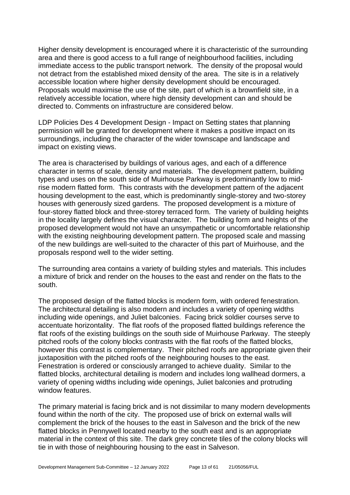Higher density development is encouraged where it is characteristic of the surrounding area and there is good access to a full range of neighbourhood facilities, including immediate access to the public transport network. The density of the proposal would not detract from the established mixed density of the area. The site is in a relatively accessible location where higher density development should be encouraged. Proposals would maximise the use of the site, part of which is a brownfield site, in a relatively accessible location, where high density development can and should be directed to. Comments on infrastructure are considered below.

LDP Policies Des 4 Development Design - Impact on Setting states that planning permission will be granted for development where it makes a positive impact on its surroundings, including the character of the wider townscape and landscape and impact on existing views.

The area is characterised by buildings of various ages, and each of a difference character in terms of scale, density and materials. The development pattern, building types and uses on the south side of Muirhouse Parkway is predominantly low to midrise modern flatted form. This contrasts with the development pattern of the adjacent housing development to the east, which is predominantly single-storey and two-storey houses with generously sized gardens. The proposed development is a mixture of four-storey flatted block and three-storey terraced form. The variety of building heights in the locality largely defines the visual character. The building form and heights of the proposed development would not have an unsympathetic or uncomfortable relationship with the existing neighbouring development pattern. The proposed scale and massing of the new buildings are well-suited to the character of this part of Muirhouse, and the proposals respond well to the wider setting.

The surrounding area contains a variety of building styles and materials. This includes a mixture of brick and render on the houses to the east and render on the flats to the south.

The proposed design of the flatted blocks is modern form, with ordered fenestration. The architectural detailing is also modern and includes a variety of opening widths including wide openings, and Juliet balconies. Facing brick soldier courses serve to accentuate horizontality. The flat roofs of the proposed flatted buildings reference the flat roofs of the existing buildings on the south side of Muirhouse Parkway. The steeply pitched roofs of the colony blocks contrasts with the flat roofs of the flatted blocks, however this contrast is complementary. Their pitched roofs are appropriate given their juxtaposition with the pitched roofs of the neighbouring houses to the east. Fenestration is ordered or consciously arranged to achieve duality. Similar to the flatted blocks, architectural detailing is modern and includes long wallhead dormers, a variety of opening widths including wide openings, Juliet balconies and protruding window features.

The primary material is facing brick and is not dissimilar to many modern developments found within the north of the city. The proposed use of brick on external walls will complement the brick of the houses to the east in Salveson and the brick of the new flatted blocks in Pennywell located nearby to the south east and is an appropriate material in the context of this site. The dark grey concrete tiles of the colony blocks will tie in with those of neighbouring housing to the east in Salveson.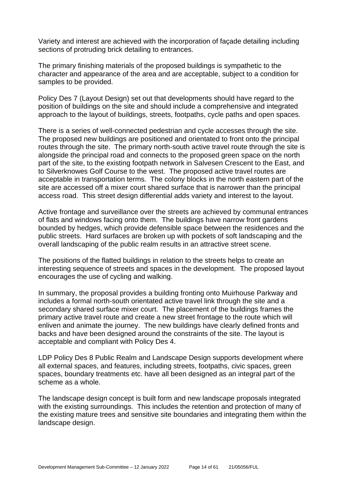Variety and interest are achieved with the incorporation of façade detailing including sections of protruding brick detailing to entrances.

The primary finishing materials of the proposed buildings is sympathetic to the character and appearance of the area and are acceptable, subject to a condition for samples to be provided.

Policy Des 7 (Layout Design) set out that developments should have regard to the position of buildings on the site and should include a comprehensive and integrated approach to the layout of buildings, streets, footpaths, cycle paths and open spaces.

There is a series of well-connected pedestrian and cycle accesses through the site. The proposed new buildings are positioned and orientated to front onto the principal routes through the site. The primary north-south active travel route through the site is alongside the principal road and connects to the proposed green space on the north part of the site, to the existing footpath network in Salvesen Crescent to the East, and to Silverknowes Golf Course to the west. The proposed active travel routes are acceptable in transportation terms. The colony blocks in the north eastern part of the site are accessed off a mixer court shared surface that is narrower than the principal access road. This street design differential adds variety and interest to the layout.

Active frontage and surveillance over the streets are achieved by communal entrances of flats and windows facing onto them. The buildings have narrow front gardens bounded by hedges, which provide defensible space between the residences and the public streets. Hard surfaces are broken up with pockets of soft landscaping and the overall landscaping of the public realm results in an attractive street scene.

The positions of the flatted buildings in relation to the streets helps to create an interesting sequence of streets and spaces in the development. The proposed layout encourages the use of cycling and walking.

In summary, the proposal provides a building fronting onto Muirhouse Parkway and includes a formal north-south orientated active travel link through the site and a secondary shared surface mixer court. The placement of the buildings frames the primary active travel route and create a new street frontage to the route which will enliven and animate the journey. The new buildings have clearly defined fronts and backs and have been designed around the constraints of the site. The layout is acceptable and compliant with Policy Des 4.

LDP Policy Des 8 Public Realm and Landscape Design supports development where all external spaces, and features, including streets, footpaths, civic spaces, green spaces, boundary treatments etc. have all been designed as an integral part of the scheme as a whole.

The landscape design concept is built form and new landscape proposals integrated with the existing surroundings. This includes the retention and protection of many of the existing mature trees and sensitive site boundaries and integrating them within the landscape design.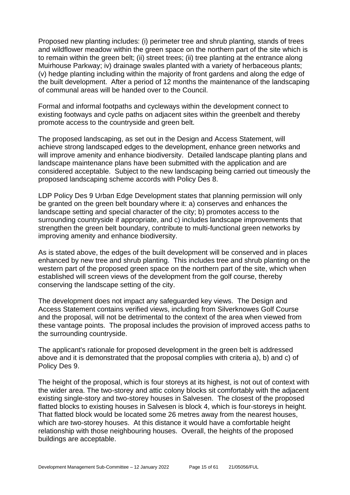Proposed new planting includes: (i) perimeter tree and shrub planting, stands of trees and wildflower meadow within the green space on the northern part of the site which is to remain within the green belt; (ii) street trees; (ii) tree planting at the entrance along Muirhouse Parkway; iv) drainage swales planted with a variety of herbaceous plants; (v) hedge planting including within the majority of front gardens and along the edge of the built development. After a period of 12 months the maintenance of the landscaping of communal areas will be handed over to the Council.

Formal and informal footpaths and cycleways within the development connect to existing footways and cycle paths on adjacent sites within the greenbelt and thereby promote access to the countryside and green belt.

The proposed landscaping, as set out in the Design and Access Statement, will achieve strong landscaped edges to the development, enhance green networks and will improve amenity and enhance biodiversity. Detailed landscape planting plans and landscape maintenance plans have been submitted with the application and are considered acceptable. Subject to the new landscaping being carried out timeously the proposed landscaping scheme accords with Policy Des 8.

LDP Policy Des 9 Urban Edge Development states that planning permission will only be granted on the green belt boundary where it: a) conserves and enhances the landscape setting and special character of the city; b) promotes access to the surrounding countryside if appropriate, and c) includes landscape improvements that strengthen the green belt boundary, contribute to multi-functional green networks by improving amenity and enhance biodiversity.

As is stated above, the edges of the built development will be conserved and in places enhanced by new tree and shrub planting. This includes tree and shrub planting on the western part of the proposed green space on the northern part of the site, which when established will screen views of the development from the golf course, thereby conserving the landscape setting of the city.

The development does not impact any safeguarded key views. The Design and Access Statement contains verified views, including from Silverknowes Golf Course and the proposal, will not be detrimental to the context of the area when viewed from these vantage points. The proposal includes the provision of improved access paths to the surrounding countryside.

The applicant's rationale for proposed development in the green belt is addressed above and it is demonstrated that the proposal complies with criteria a), b) and c) of Policy Des 9.

The height of the proposal, which is four storeys at its highest, is not out of context with the wider area. The two-storey and attic colony blocks sit comfortably with the adjacent existing single-story and two-storey houses in Salvesen. The closest of the proposed flatted blocks to existing houses in Salvesen is block 4, which is four-storeys in height. That flatted block would be located some 26 metres away from the nearest houses, which are two-storey houses. At this distance it would have a comfortable height relationship with those neighbouring houses. Overall, the heights of the proposed buildings are acceptable.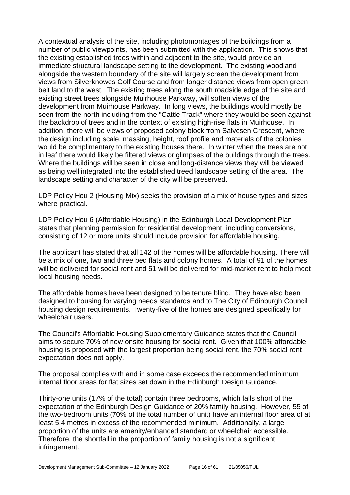A contextual analysis of the site, including photomontages of the buildings from a number of public viewpoints, has been submitted with the application. This shows that the existing established trees within and adjacent to the site, would provide an immediate structural landscape setting to the development. The existing woodland alongside the western boundary of the site will largely screen the development from views from Silverknowes Golf Course and from longer distance views from open green belt land to the west. The existing trees along the south roadside edge of the site and existing street trees alongside Muirhouse Parkway, will soften views of the development from Muirhouse Parkway. In long views, the buildings would mostly be seen from the north including from the "Cattle Track" where they would be seen against the backdrop of trees and in the context of existing high-rise flats in Muirhouse. In addition, there will be views of proposed colony block from Salvesen Crescent, where the design including scale, massing, height, roof profile and materials of the colonies would be complimentary to the existing houses there. In winter when the trees are not in leaf there would likely be filtered views or glimpses of the buildings through the trees. Where the buildings will be seen in close and long-distance views they will be viewed as being well integrated into the established treed landscape setting of the area. The landscape setting and character of the city will be preserved.

LDP Policy Hou 2 (Housing Mix) seeks the provision of a mix of house types and sizes where practical.

LDP Policy Hou 6 (Affordable Housing) in the Edinburgh Local Development Plan states that planning permission for residential development, including conversions, consisting of 12 or more units should include provision for affordable housing.

The applicant has stated that all 142 of the homes will be affordable housing. There will be a mix of one, two and three bed flats and colony homes. A total of 91 of the homes will be delivered for social rent and 51 will be delivered for mid-market rent to help meet local housing needs.

The affordable homes have been designed to be tenure blind. They have also been designed to housing for varying needs standards and to The City of Edinburgh Council housing design requirements. Twenty-five of the homes are designed specifically for wheelchair users.

The Council's Affordable Housing Supplementary Guidance states that the Council aims to secure 70% of new onsite housing for social rent. Given that 100% affordable housing is proposed with the largest proportion being social rent, the 70% social rent expectation does not apply.

The proposal complies with and in some case exceeds the recommended minimum internal floor areas for flat sizes set down in the Edinburgh Design Guidance.

Thirty-one units (17% of the total) contain three bedrooms, which falls short of the expectation of the Edinburgh Design Guidance of 20% family housing. However, 55 of the two-bedroom units (70% of the total number of unit) have an internal floor area of at least 5.4 metres in excess of the recommended minimum. Additionally, a large proportion of the units are amenity/enhanced standard or wheelchair accessible. Therefore, the shortfall in the proportion of family housing is not a significant infringement.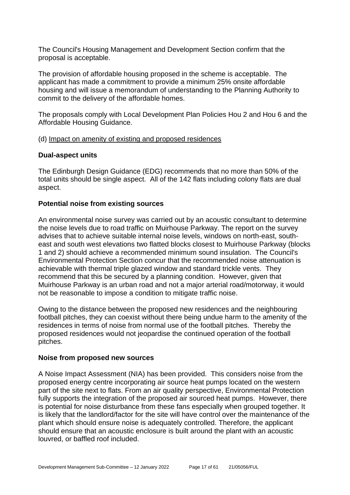The Council's Housing Management and Development Section confirm that the proposal is acceptable.

The provision of affordable housing proposed in the scheme is acceptable. The applicant has made a commitment to provide a minimum 25% onsite affordable housing and will issue a memorandum of understanding to the Planning Authority to commit to the delivery of the affordable homes.

The proposals comply with Local Development Plan Policies Hou 2 and Hou 6 and the Affordable Housing Guidance.

#### (d) Impact on amenity of existing and proposed residences

# **Dual-aspect units**

The Edinburgh Design Guidance (EDG) recommends that no more than 50% of the total units should be single aspect. All of the 142 flats including colony flats are dual aspect.

#### **Potential noise from existing sources**

An environmental noise survey was carried out by an acoustic consultant to determine the noise levels due to road traffic on Muirhouse Parkway. The report on the survey advises that to achieve suitable internal noise levels, windows on north-east, southeast and south west elevations two flatted blocks closest to Muirhouse Parkway (blocks 1 and 2) should achieve a recommended minimum sound insulation. The Council's Environmental Protection Section concur that the recommended noise attenuation is achievable with thermal triple glazed window and standard trickle vents. They recommend that this be secured by a planning condition. However, given that Muirhouse Parkway is an urban road and not a major arterial road/motorway, it would not be reasonable to impose a condition to mitigate traffic noise.

Owing to the distance between the proposed new residences and the neighbouring football pitches, they can coexist without there being undue harm to the amenity of the residences in terms of noise from normal use of the football pitches. Thereby the proposed residences would not jeopardise the continued operation of the football pitches.

#### **Noise from proposed new sources**

A Noise Impact Assessment (NIA) has been provided. This considers noise from the proposed energy centre incorporating air source heat pumps located on the western part of the site next to flats. From an air quality perspective, Environmental Protection fully supports the integration of the proposed air sourced heat pumps. However, there is potential for noise disturbance from these fans especially when grouped together. It is likely that the landlord/factor for the site will have control over the maintenance of the plant which should ensure noise is adequately controlled. Therefore, the applicant should ensure that an acoustic enclosure is built around the plant with an acoustic louvred, or baffled roof included.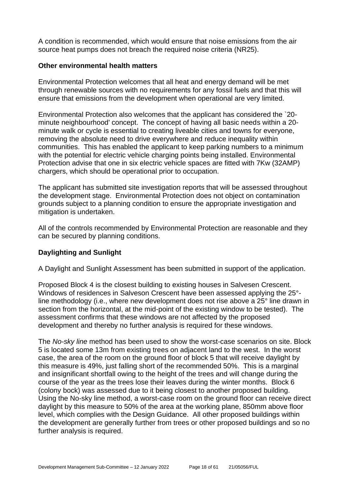A condition is recommended, which would ensure that noise emissions from the air source heat pumps does not breach the required noise criteria (NR25).

#### **Other environmental health matters**

Environmental Protection welcomes that all heat and energy demand will be met through renewable sources with no requirements for any fossil fuels and that this will ensure that emissions from the development when operational are very limited.

Environmental Protection also welcomes that the applicant has considered the `20 minute neighbourhood' concept. The concept of having all basic needs within a 20 minute walk or cycle is essential to creating liveable cities and towns for everyone, removing the absolute need to drive everywhere and reduce inequality within communities. This has enabled the applicant to keep parking numbers to a minimum with the potential for electric vehicle charging points being installed. Environmental Protection advise that one in six electric vehicle spaces are fitted with 7Kw (32AMP) chargers, which should be operational prior to occupation.

The applicant has submitted site investigation reports that will be assessed throughout the development stage. Environmental Protection does not object on contamination grounds subject to a planning condition to ensure the appropriate investigation and mitigation is undertaken.

All of the controls recommended by Environmental Protection are reasonable and they can be secured by planning conditions.

# **Daylighting and Sunlight**

A Daylight and Sunlight Assessment has been submitted in support of the application.

Proposed Block 4 is the closest building to existing houses in Salvesen Crescent. Windows of residences in Salveson Crescent have been assessed applying the 25° line methodology (i.e., where new development does not rise above a 25° line drawn in section from the horizontal, at the mid-point of the existing window to be tested). The assessment confirms that these windows are not affected by the proposed development and thereby no further analysis is required for these windows.

The *No-sky line* method has been used to show the worst-case scenarios on site. Block 5 is located some 13m from existing trees on adjacent land to the west. In the worst case, the area of the room on the ground floor of block 5 that will receive daylight by this measure is 49%, just falling short of the recommended 50%. This is a marginal and insignificant shortfall owing to the height of the trees and will change during the course of the year as the trees lose their leaves during the winter months. Block 6 (colony bock) was assessed due to it being closest to another proposed building. Using the No-sky line method, a worst-case room on the ground floor can receive direct daylight by this measure to 50% of the area at the working plane, 850mm above floor level, which complies with the Design Guidance. All other proposed buildings within the development are generally further from trees or other proposed buildings and so no further analysis is required.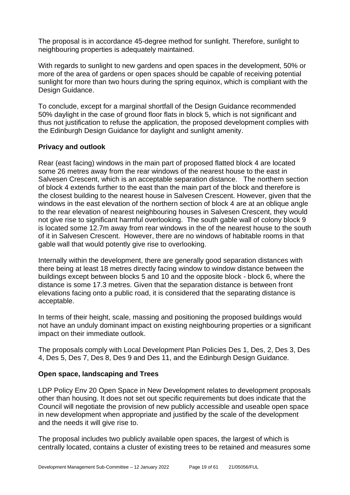The proposal is in accordance 45-degree method for sunlight. Therefore, sunlight to neighbouring properties is adequately maintained.

With regards to sunlight to new gardens and open spaces in the development, 50% or more of the area of gardens or open spaces should be capable of receiving potential sunlight for more than two hours during the spring equinox, which is compliant with the Design Guidance.

To conclude, except for a marginal shortfall of the Design Guidance recommended 50% daylight in the case of ground floor flats in block 5, which is not significant and thus not justification to refuse the application, the proposed development complies with the Edinburgh Design Guidance for daylight and sunlight amenity.

# **Privacy and outlook**

Rear (east facing) windows in the main part of proposed flatted block 4 are located some 26 metres away from the rear windows of the nearest house to the east in Salvesen Crescent, which is an acceptable separation distance. The northern section of block 4 extends further to the east than the main part of the block and therefore is the closest building to the nearest house in Salvesen Crescent. However, given that the windows in the east elevation of the northern section of block 4 are at an oblique angle to the rear elevation of nearest neighbouring houses in Salvesen Crescent, they would not give rise to significant harmful overlooking. The south gable wall of colony block 9 is located some 12.7m away from rear windows in the of the nearest house to the south of it in Salvesen Crescent. However, there are no windows of habitable rooms in that gable wall that would potently give rise to overlooking.

Internally within the development, there are generally good separation distances with there being at least 18 metres directly facing window to window distance between the buildings except between blocks 5 and 10 and the opposite block - block 6, where the distance is some 17.3 metres. Given that the separation distance is between front elevations facing onto a public road, it is considered that the separating distance is acceptable.

In terms of their height, scale, massing and positioning the proposed buildings would not have an unduly dominant impact on existing neighbouring properties or a significant impact on their immediate outlook.

The proposals comply with Local Development Plan Policies Des 1, Des, 2, Des 3, Des 4, Des 5, Des 7, Des 8, Des 9 and Des 11, and the Edinburgh Design Guidance.

# **Open space, landscaping and Trees**

LDP Policy Env 20 Open Space in New Development relates to development proposals other than housing. It does not set out specific requirements but does indicate that the Council will negotiate the provision of new publicly accessible and useable open space in new development when appropriate and justified by the scale of the development and the needs it will give rise to.

The proposal includes two publicly available open spaces, the largest of which is centrally located, contains a cluster of existing trees to be retained and measures some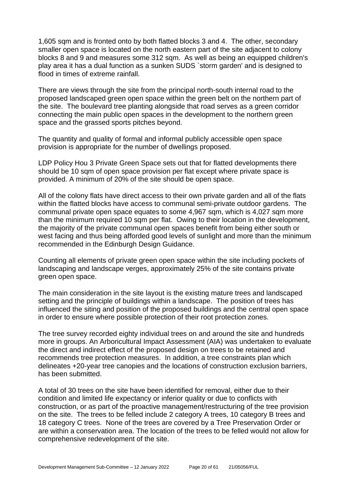1,605 sqm and is fronted onto by both flatted blocks 3 and 4. The other, secondary smaller open space is located on the north eastern part of the site adjacent to colony blocks 8 and 9 and measures some 312 sqm. As well as being an equipped children's play area it has a dual function as a sunken SUDS `storm garden' and is designed to flood in times of extreme rainfall.

There are views through the site from the principal north-south internal road to the proposed landscaped green open space within the green belt on the northern part of the site. The boulevard tree planting alongside that road serves as a green corridor connecting the main public open spaces in the development to the northern green space and the grassed sports pitches beyond.

The quantity and quality of formal and informal publicly accessible open space provision is appropriate for the number of dwellings proposed.

LDP Policy Hou 3 Private Green Space sets out that for flatted developments there should be 10 sqm of open space provision per flat except where private space is provided. A minimum of 20% of the site should be open space.

All of the colony flats have direct access to their own private garden and all of the flats within the flatted blocks have access to communal semi-private outdoor gardens. The communal private open space equates to some 4,967 sqm, which is 4,027 sqm more than the minimum required 10 sqm per flat. Owing to their location in the development, the majority of the private communal open spaces benefit from being either south or west facing and thus being afforded good levels of sunlight and more than the minimum recommended in the Edinburgh Design Guidance.

Counting all elements of private green open space within the site including pockets of landscaping and landscape verges, approximately 25% of the site contains private green open space.

The main consideration in the site layout is the existing mature trees and landscaped setting and the principle of buildings within a landscape. The position of trees has influenced the siting and position of the proposed buildings and the central open space in order to ensure where possible protection of their root protection zones.

The tree survey recorded eighty individual trees on and around the site and hundreds more in groups. An Arboricultural Impact Assessment (AIA) was undertaken to evaluate the direct and indirect effect of the proposed design on trees to be retained and recommends tree protection measures. In addition, a tree constraints plan which delineates +20-year tree canopies and the locations of construction exclusion barriers, has been submitted.

A total of 30 trees on the site have been identified for removal, either due to their condition and limited life expectancy or inferior quality or due to conflicts with construction, or as part of the proactive management/restructuring of the tree provision on the site. The trees to be felled include 2 category A trees, 10 category B trees and 18 category C trees. None of the trees are covered by a Tree Preservation Order or are within a conservation area. The location of the trees to be felled would not allow for comprehensive redevelopment of the site.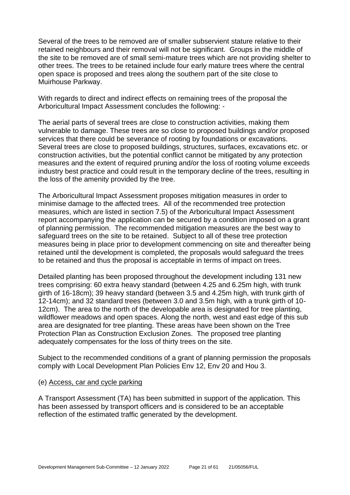Several of the trees to be removed are of smaller subservient stature relative to their retained neighbours and their removal will not be significant. Groups in the middle of the site to be removed are of small semi-mature trees which are not providing shelter to other trees. The trees to be retained include four early mature trees where the central open space is proposed and trees along the southern part of the site close to Muirhouse Parkway.

With regards to direct and indirect effects on remaining trees of the proposal the Arboricultural Impact Assessment concludes the following: -

The aerial parts of several trees are close to construction activities, making them vulnerable to damage. These trees are so close to proposed buildings and/or proposed services that there could be severance of rooting by foundations or excavations. Several trees are close to proposed buildings, structures, surfaces, excavations etc. or construction activities, but the potential conflict cannot be mitigated by any protection measures and the extent of required pruning and/or the loss of rooting volume exceeds industry best practice and could result in the temporary decline of the trees, resulting in the loss of the amenity provided by the tree.

The Arboricultural Impact Assessment proposes mitigation measures in order to minimise damage to the affected trees. All of the recommended tree protection measures, which are listed in section 7.5) of the Arboricultural Impact Assessment report accompanying the application can be secured by a condition imposed on a grant of planning permission. The recommended mitigation measures are the best way to safeguard trees on the site to be retained. Subject to all of these tree protection measures being in place prior to development commencing on site and thereafter being retained until the development is completed, the proposals would safeguard the trees to be retained and thus the proposal is acceptable in terms of impact on trees.

Detailed planting has been proposed throughout the development including 131 new trees comprising: 60 extra heavy standard (between 4.25 and 6.25m high, with trunk girth of 16-18cm); 39 heavy standard (between 3.5 and 4.25m high, with trunk girth of 12-14cm); and 32 standard trees (between 3.0 and 3.5m high, with a trunk girth of 10- 12cm). The area to the north of the developable area is designated for tree planting, wildflower meadows and open spaces. Along the north, west and east edge of this sub area are designated for tree planting. These areas have been shown on the Tree Protection Plan as Construction Exclusion Zones. The proposed tree planting adequately compensates for the loss of thirty trees on the site.

Subject to the recommended conditions of a grant of planning permission the proposals comply with Local Development Plan Policies Env 12, Env 20 and Hou 3.

#### (e) Access, car and cycle parking

A Transport Assessment (TA) has been submitted in support of the application. This has been assessed by transport officers and is considered to be an acceptable reflection of the estimated traffic generated by the development.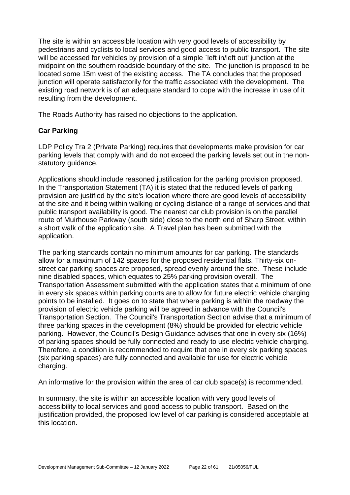The site is within an accessible location with very good levels of accessibility by pedestrians and cyclists to local services and good access to public transport. The site will be accessed for vehicles by provision of a simple 'left in/left out' junction at the midpoint on the southern roadside boundary of the site. The junction is proposed to be located some 15m west of the existing access. The TA concludes that the proposed junction will operate satisfactorily for the traffic associated with the development. The existing road network is of an adequate standard to cope with the increase in use of it resulting from the development.

The Roads Authority has raised no objections to the application.

# **Car Parking**

LDP Policy Tra 2 (Private Parking) requires that developments make provision for car parking levels that comply with and do not exceed the parking levels set out in the nonstatutory guidance.

Applications should include reasoned justification for the parking provision proposed. In the Transportation Statement (TA) it is stated that the reduced levels of parking provision are justified by the site's location where there are good levels of accessibility at the site and it being within walking or cycling distance of a range of services and that public transport availability is good. The nearest car club provision is on the parallel route of Muirhouse Parkway (south side) close to the north end of Sharp Street, within a short walk of the application site. A Travel plan has been submitted with the application.

The parking standards contain no minimum amounts for car parking. The standards allow for a maximum of 142 spaces for the proposed residential flats. Thirty-six onstreet car parking spaces are proposed, spread evenly around the site. These include nine disabled spaces, which equates to 25% parking provision overall. The Transportation Assessment submitted with the application states that a minimum of one in every six spaces within parking courts are to allow for future electric vehicle charging points to be installed. It goes on to state that where parking is within the roadway the provision of electric vehicle parking will be agreed in advance with the Council's Transportation Section. The Council's Transportation Section advise that a minimum of three parking spaces in the development (8%) should be provided for electric vehicle parking. However, the Council's Design Guidance advises that one in every six (16%) of parking spaces should be fully connected and ready to use electric vehicle charging. Therefore, a condition is recommended to require that one in every six parking spaces (six parking spaces) are fully connected and available for use for electric vehicle charging.

An informative for the provision within the area of car club space(s) is recommended.

In summary, the site is within an accessible location with very good levels of accessibility to local services and good access to public transport. Based on the justification provided, the proposed low level of car parking is considered acceptable at this location.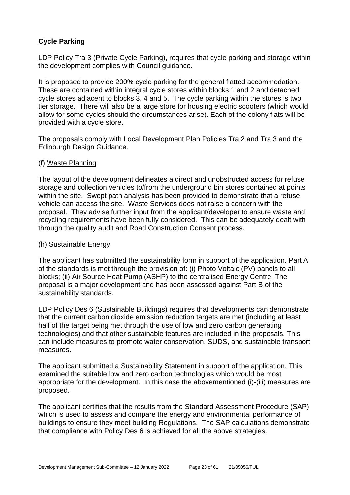# **Cycle Parking**

LDP Policy Tra 3 (Private Cycle Parking), requires that cycle parking and storage within the development complies with Council guidance.

It is proposed to provide 200% cycle parking for the general flatted accommodation. These are contained within integral cycle stores within blocks 1 and 2 and detached cycle stores adjacent to blocks 3, 4 and 5. The cycle parking within the stores is two tier storage. There will also be a large store for housing electric scooters (which would allow for some cycles should the circumstances arise). Each of the colony flats will be provided with a cycle store.

The proposals comply with Local Development Plan Policies Tra 2 and Tra 3 and the Edinburgh Design Guidance.

# (f) Waste Planning

The layout of the development delineates a direct and unobstructed access for refuse storage and collection vehicles to/from the underground bin stores contained at points within the site. Swept path analysis has been provided to demonstrate that a refuse vehicle can access the site. Waste Services does not raise a concern with the proposal. They advise further input from the applicant/developer to ensure waste and recycling requirements have been fully considered. This can be adequately dealt with through the quality audit and Road Construction Consent process.

#### (h) Sustainable Energy

The applicant has submitted the sustainability form in support of the application. Part A of the standards is met through the provision of: (i) Photo Voltaic (PV) panels to all blocks; (ii) Air Source Heat Pump (ASHP) to the centralised Energy Centre. The proposal is a major development and has been assessed against Part B of the sustainability standards.

LDP Policy Des 6 (Sustainable Buildings) requires that developments can demonstrate that the current carbon dioxide emission reduction targets are met (including at least half of the target being met through the use of low and zero carbon generating technologies) and that other sustainable features are included in the proposals. This can include measures to promote water conservation, SUDS, and sustainable transport measures.

The applicant submitted a Sustainability Statement in support of the application. This examined the suitable low and zero carbon technologies which would be most appropriate for the development. In this case the abovementioned (i)-(iii) measures are proposed.

The applicant certifies that the results from the Standard Assessment Procedure (SAP) which is used to assess and compare the energy and environmental performance of buildings to ensure they meet building Regulations. The SAP calculations demonstrate that compliance with Policy Des 6 is achieved for all the above strategies.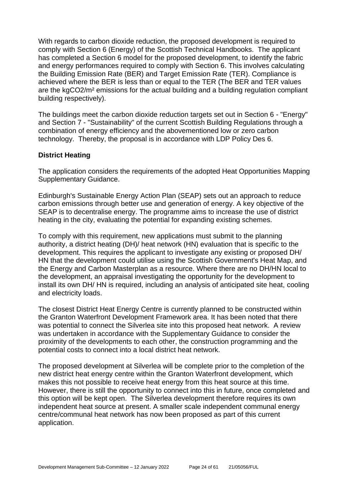With regards to carbon dioxide reduction, the proposed development is required to comply with Section 6 (Energy) of the Scottish Technical Handbooks. The applicant has completed a Section 6 model for the proposed development, to identify the fabric and energy performances required to comply with Section 6. This involves calculating the Building Emission Rate (BER) and Target Emission Rate (TER). Compliance is achieved where the BER is less than or equal to the TER (The BER and TER values are the kgCO2/m² emissions for the actual building and a building regulation compliant building respectively).

The buildings meet the carbon dioxide reduction targets set out in Section 6 - "Energy" and Section 7 - "Sustainability" of the current Scottish Building Regulations through a combination of energy efficiency and the abovementioned low or zero carbon technology. Thereby, the proposal is in accordance with LDP Policy Des 6.

# **District Heating**

The application considers the requirements of the adopted Heat Opportunities Mapping Supplementary Guidance.

Edinburgh's Sustainable Energy Action Plan (SEAP) sets out an approach to reduce carbon emissions through better use and generation of energy. A key objective of the SEAP is to decentralise energy. The programme aims to increase the use of district heating in the city, evaluating the potential for expanding existing schemes.

To comply with this requirement, new applications must submit to the planning authority, a district heating (DH)/ heat network (HN) evaluation that is specific to the development. This requires the applicant to investigate any existing or proposed DH/ HN that the development could utilise using the Scottish Government's Heat Map, and the Energy and Carbon Masterplan as a resource. Where there are no DH/HN local to the development, an appraisal investigating the opportunity for the development to install its own DH/ HN is required, including an analysis of anticipated site heat, cooling and electricity loads.

The closest District Heat Energy Centre is currently planned to be constructed within the Granton Waterfront Development Framework area. It has been noted that there was potential to connect the Silverlea site into this proposed heat network. A review was undertaken in accordance with the Supplementary Guidance to consider the proximity of the developments to each other, the construction programming and the potential costs to connect into a local district heat network.

The proposed development at Silverlea will be complete prior to the completion of the new district heat energy centre within the Granton Waterfront development, which makes this not possible to receive heat energy from this heat source at this time. However, there is still the opportunity to connect into this in future, once completed and this option will be kept open. The Silverlea development therefore requires its own independent heat source at present. A smaller scale independent communal energy centre/communal heat network has now been proposed as part of this current application.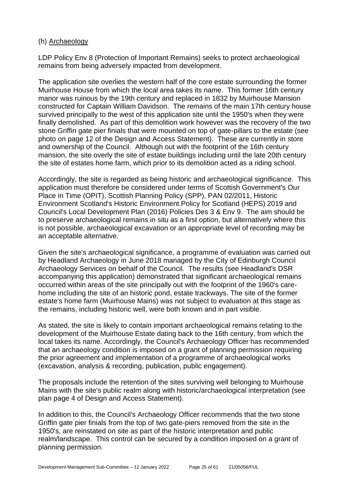#### (h) Archaeology

LDP Policy Env 8 (Protection of Important Remains) seeks to protect archaeological remains from being adversely impacted from development.

The application site overlies the western half of the core estate surrounding the former Muirhouse House from which the local area takes its name. This former 16th century manor was ruinous by the 19th century and replaced in 1832 by Muirhouse Mansion constructed for Captain William Davidson. The remains of the main 17th century house survived principally to the west of this application site until the 1950's when they were finally demolished. As part of this demolition work however was the recovery of the two stone Griffin gate pier finials that were mounted on top of gate-pillars to the estate (see photo on page 12 of the Design and Access Statement). These are currently in store and ownership of the Council. Although out with the footprint of the 16th century mansion, the site overly the site of estate buildings including until the late 20th century the site of estates home farm, which prior to its demolition acted as a riding school.

Accordingly, the site is regarded as being historic and archaeological significance. This application must therefore be considered under terms of Scottish Government's Our Place in Time (OPIT), Scottish Planning Policy (SPP), PAN 02/2011, Historic Environment Scotland's Historic Environment Policy for Scotland (HEPS) 2019 and Council's Local Development Plan (2016) Policies Des 3 & Env 9. The aim should be to preserve archaeological remains in situ as a first option, but alternatively where this is not possible, archaeological excavation or an appropriate level of recording may be an acceptable alternative.

Given the site's archaeological significance, a programme of evaluation was carried out by Headland Archaeology in June 2018 managed by the City of Edinburgh Council Archaeology Services on behalf of the Council. The results (see Headland's DSR accompanying this application) demonstrated that significant archaeological remains occurred within areas of the site principally out with the footprint of the 1960's carehome including the site of an historic pond, estate trackways. The site of the former estate's home farm (Muirhouse Mains) was not subject to evaluation at this stage as the remains, including historic well, were both known and in part visible.

As stated, the site is likely to contain important archaeological remains relating to the development of the Muirhouse Estate dating back to the 16th century, from which the local takes its name. Accordingly, the Council's Archaeology Officer has recommended that an archaeology condition is imposed on a grant of planning permission requiring the prior agreement and implementation of a programme of archaeological works (excavation, analysis & recording, publication, public engagement).

The proposals include the retention of the sites surviving well belonging to Muirhouse Mains with the site's public realm along with historic/archaeological interpretation (see plan page 4 of Design and Access Statement).

In addition to this, the Council's Archaeology Officer recommends that the two stone Griffin gate pier finials from the top of two gate-piers removed from the site in the 1950's, are reinstated on site as part of the historic interpretation and public realm/landscape. This control can be secured by a condition imposed on a grant of planning permission.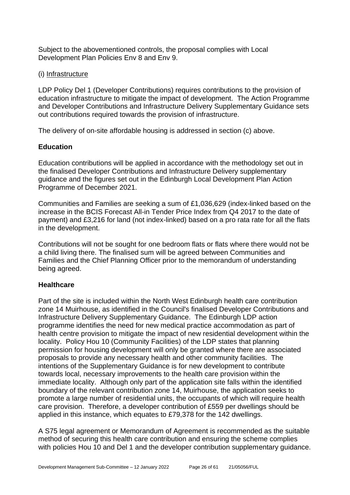Subject to the abovementioned controls, the proposal complies with Local Development Plan Policies Env 8 and Env 9.

# (i) Infrastructure

LDP Policy Del 1 (Developer Contributions) requires contributions to the provision of education infrastructure to mitigate the impact of development. The Action Programme and Developer Contributions and Infrastructure Delivery Supplementary Guidance sets out contributions required towards the provision of infrastructure.

The delivery of on-site affordable housing is addressed in section (c) above.

# **Education**

Education contributions will be applied in accordance with the methodology set out in the finalised Developer Contributions and Infrastructure Delivery supplementary guidance and the figures set out in the Edinburgh Local Development Plan Action Programme of December 2021.

Communities and Families are seeking a sum of £1,036,629 (index-linked based on the increase in the BCIS Forecast All-in Tender Price Index from Q4 2017 to the date of payment) and £3,216 for land (not index-linked) based on a pro rata rate for all the flats in the development.

Contributions will not be sought for one bedroom flats or flats where there would not be a child living there. The finalised sum will be agreed between Communities and Families and the Chief Planning Officer prior to the memorandum of understanding being agreed.

# **Healthcare**

Part of the site is included within the North West Edinburgh health care contribution zone 14 Muirhouse, as identified in the Council's finalised Developer Contributions and Infrastructure Delivery Supplementary Guidance. The Edinburgh LDP action programme identifies the need for new medical practice accommodation as part of health centre provision to mitigate the impact of new residential development within the locality. Policy Hou 10 (Community Facilities) of the LDP states that planning permission for housing development will only be granted where there are associated proposals to provide any necessary health and other community facilities. The intentions of the Supplementary Guidance is for new development to contribute towards local, necessary improvements to the health care provision within the immediate locality. Although only part of the application site falls within the identified boundary of the relevant contribution zone 14, Muirhouse, the application seeks to promote a large number of residential units, the occupants of which will require health care provision. Therefore, a developer contribution of £559 per dwellings should be applied in this instance, which equates to £79,378 for the 142 dwellings.

A S75 legal agreement or Memorandum of Agreement is recommended as the suitable method of securing this health care contribution and ensuring the scheme complies with policies Hou 10 and Del 1 and the developer contribution supplementary quidance.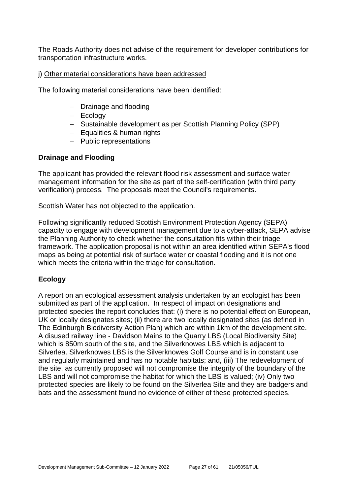The Roads Authority does not advise of the requirement for developer contributions for transportation infrastructure works.

#### j) Other material considerations have been addressed

The following material considerations have been identified:

- − Drainage and flooding
- − Ecology
- − Sustainable development as per Scottish Planning Policy (SPP)
- − Equalities & human rights
- − Public representations

# **Drainage and Flooding**

The applicant has provided the relevant flood risk assessment and surface water management information for the site as part of the self-certification (with third party verification) process. The proposals meet the Council's requirements.

Scottish Water has not objected to the application.

Following significantly reduced Scottish Environment Protection Agency (SEPA) capacity to engage with development management due to a cyber-attack, SEPA advise the Planning Authority to check whether the consultation fits within their triage framework. The application proposal is not within an area identified within SEPA's flood maps as being at potential risk of surface water or coastal flooding and it is not one which meets the criteria within the triage for consultation.

# **Ecology**

A report on an ecological assessment analysis undertaken by an ecologist has been submitted as part of the application. In respect of impact on designations and protected species the report concludes that: (i) there is no potential effect on European, UK or locally designates sites; (ii) there are two locally designated sites (as defined in The Edinburgh Biodiversity Action Plan) which are within 1km of the development site. A disused railway line - Davidson Mains to the Quarry LBS (Local Biodiversity Site) which is 850m south of the site, and the Silverknowes LBS which is adjacent to Silverlea. Silverknowes LBS is the Silverknowes Golf Course and is in constant use and regularly maintained and has no notable habitats; and, (iii) The redevelopment of the site, as currently proposed will not compromise the integrity of the boundary of the LBS and will not compromise the habitat for which the LBS is valued; (iv) Only two protected species are likely to be found on the Silverlea Site and they are badgers and bats and the assessment found no evidence of either of these protected species.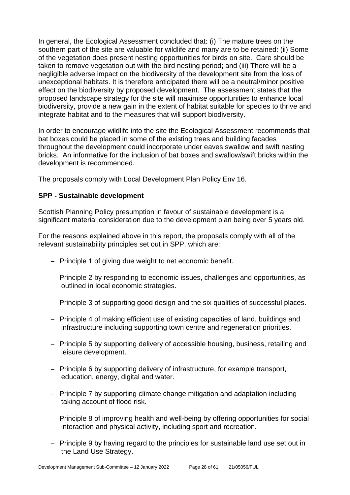In general, the Ecological Assessment concluded that: (i) The mature trees on the southern part of the site are valuable for wildlife and many are to be retained: (ii) Some of the vegetation does present nesting opportunities for birds on site. Care should be taken to remove vegetation out with the bird nesting period; and (iii) There will be a negligible adverse impact on the biodiversity of the development site from the loss of unexceptional habitats. It is therefore anticipated there will be a neutral/minor positive effect on the biodiversity by proposed development. The assessment states that the proposed landscape strategy for the site will maximise opportunities to enhance local biodiversity, provide a new gain in the extent of habitat suitable for species to thrive and integrate habitat and to the measures that will support biodiversity.

In order to encourage wildlife into the site the Ecological Assessment recommends that bat boxes could be placed in some of the existing trees and building facades throughout the development could incorporate under eaves swallow and swift nesting bricks. An informative for the inclusion of bat boxes and swallow/swift bricks within the development is recommended.

The proposals comply with Local Development Plan Policy Env 16.

# **SPP - Sustainable development**

Scottish Planning Policy presumption in favour of sustainable development is a significant material consideration due to the development plan being over 5 years old.

For the reasons explained above in this report, the proposals comply with all of the relevant sustainability principles set out in SPP, which are:

- − Principle 1 of giving due weight to net economic benefit.
- − Principle 2 by responding to economic issues, challenges and opportunities, as outlined in local economic strategies.
- − Principle 3 of supporting good design and the six qualities of successful places.
- − Principle 4 of making efficient use of existing capacities of land, buildings and infrastructure including supporting town centre and regeneration priorities.
- − Principle 5 by supporting delivery of accessible housing, business, retailing and leisure development.
- − Principle 6 by supporting delivery of infrastructure, for example transport, education, energy, digital and water.
- − Principle 7 by supporting climate change mitigation and adaptation including taking account of flood risk.
- − Principle 8 of improving health and well-being by offering opportunities for social interaction and physical activity, including sport and recreation.
- − Principle 9 by having regard to the principles for sustainable land use set out in the Land Use Strategy.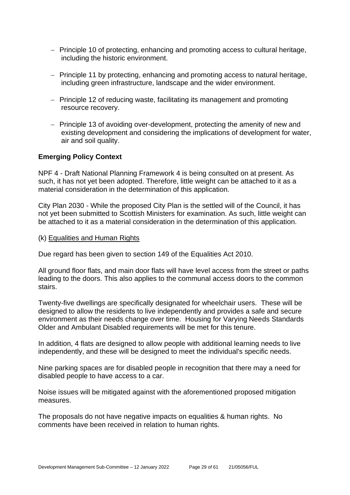- − Principle 10 of protecting, enhancing and promoting access to cultural heritage, including the historic environment.
- − Principle 11 by protecting, enhancing and promoting access to natural heritage, including green infrastructure, landscape and the wider environment.
- − Principle 12 of reducing waste, facilitating its management and promoting resource recovery.
- − Principle 13 of avoiding over-development, protecting the amenity of new and existing development and considering the implications of development for water, air and soil quality.

# **Emerging Policy Context**

NPF 4 - Draft National Planning Framework 4 is being consulted on at present. As such, it has not yet been adopted. Therefore, little weight can be attached to it as a material consideration in the determination of this application.

City Plan 2030 - While the proposed City Plan is the settled will of the Council, it has not yet been submitted to Scottish Ministers for examination. As such, little weight can be attached to it as a material consideration in the determination of this application.

(k) Equalities and Human Rights

Due regard has been given to section 149 of the Equalities Act 2010.

All ground floor flats, and main door flats will have level access from the street or paths leading to the doors. This also applies to the communal access doors to the common stairs.

Twenty-five dwellings are specifically designated for wheelchair users. These will be designed to allow the residents to live independently and provides a safe and secure environment as their needs change over time. Housing for Varying Needs Standards Older and Ambulant Disabled requirements will be met for this tenure.

In addition, 4 flats are designed to allow people with additional learning needs to live independently, and these will be designed to meet the individual's specific needs.

Nine parking spaces are for disabled people in recognition that there may a need for disabled people to have access to a car.

Noise issues will be mitigated against with the aforementioned proposed mitigation measures.

The proposals do not have negative impacts on equalities & human rights. No comments have been received in relation to human rights.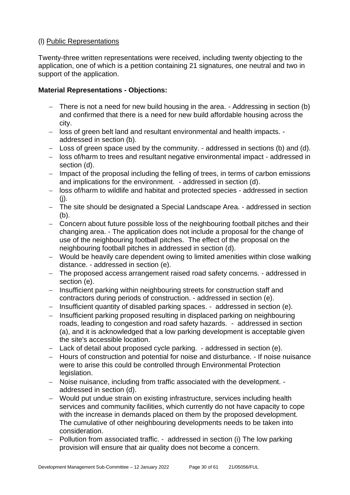# (l) Public Representations

Twenty-three written representations were received, including twenty objecting to the application, one of which is a petition containing 21 signatures, one neutral and two in support of the application.

# **Material Representations - Objections:**

- − There is not a need for new build housing in the area. Addressing in section (b) and confirmed that there is a need for new build affordable housing across the city.
- − loss of green belt land and resultant environmental and health impacts. addressed in section (b).
- − Loss of green space used by the community. addressed in sections (b) and (d).
- − loss of/harm to trees and resultant negative environmental impact addressed in section (d).
- − Impact of the proposal including the felling of trees, in terms of carbon emissions and implications for the environment. - addressed in section (d).
- − loss of/harm to wildlife and habitat and protected species addressed in section (j).
- − The site should be designated a Special Landscape Area. addressed in section (b).
- − Concern about future possible loss of the neighbouring football pitches and their changing area. - The application does not include a proposal for the change of use of the neighbouring football pitches. The effect of the proposal on the neighbouring football pitches in addressed in section (d).
- − Would be heavily care dependent owing to limited amenities within close walking distance. - addressed in section (e).
- − The proposed access arrangement raised road safety concerns. addressed in section (e).
- − Insufficient parking within neighbouring streets for construction staff and contractors during periods of construction. - addressed in section (e).
- − Insufficient quantity of disabled parking spaces. addressed in section (e).
- − Insufficient parking proposed resulting in displaced parking on neighbouring roads, leading to congestion and road safety hazards. - addressed in section (a), and it is acknowledged that a low parking development is acceptable given the site's accessible location.
- − Lack of detail about proposed cycle parking. addressed in section (e).
- − Hours of construction and potential for noise and disturbance. If noise nuisance were to arise this could be controlled through Environmental Protection legislation.
- − Noise nuisance, including from traffic associated with the development. addressed in section (d).
- − Would put undue strain on existing infrastructure, services including health services and community facilities, which currently do not have capacity to cope with the increase in demands placed on them by the proposed development. The cumulative of other neighbouring developments needs to be taken into consideration.
- − Pollution from associated traffic. addressed in section (i) The low parking provision will ensure that air quality does not become a concern.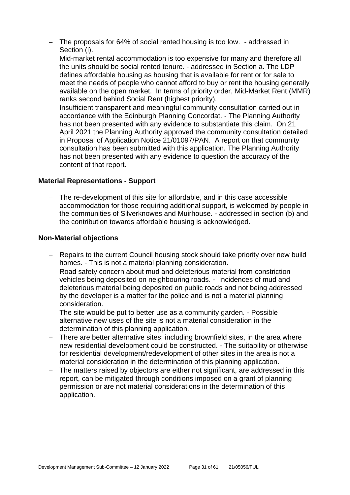- − The proposals for 64% of social rented housing is too low. addressed in Section (i).
- − Mid-market rental accommodation is too expensive for many and therefore all the units should be social rented tenure. - addressed in Section a. The LDP defines affordable housing as housing that is available for rent or for sale to meet the needs of people who cannot afford to buy or rent the housing generally available on the open market. In terms of priority order, Mid-Market Rent (MMR) ranks second behind Social Rent (highest priority).
- − Insufficient transparent and meaningful community consultation carried out in accordance with the Edinburgh Planning Concordat. - The Planning Authority has not been presented with any evidence to substantiate this claim. On 21 April 2021 the Planning Authority approved the community consultation detailed in Proposal of Application Notice 21/01097/PAN. A report on that community consultation has been submitted with this application. The Planning Authority has not been presented with any evidence to question the accuracy of the content of that report.

#### **Material Representations - Support**

The re-development of this site for affordable, and in this case accessible accommodation for those requiring additional support, is welcomed by people in the communities of Silverknowes and Muirhouse. - addressed in section (b) and the contribution towards affordable housing is acknowledged.

#### **Non-Material objections**

- − Repairs to the current Council housing stock should take priority over new build homes. - This is not a material planning consideration.
- − Road safety concern about mud and deleterious material from constriction vehicles being deposited on neighbouring roads. - Incidences of mud and deleterious material being deposited on public roads and not being addressed by the developer is a matter for the police and is not a material planning consideration.
- − The site would be put to better use as a community garden. Possible alternative new uses of the site is not a material consideration in the determination of this planning application.
- − There are better alternative sites; including brownfield sites, in the area where new residential development could be constructed. - The suitability or otherwise for residential development/redevelopment of other sites in the area is not a material consideration in the determination of this planning application.
- − The matters raised by objectors are either not significant, are addressed in this report, can be mitigated through conditions imposed on a grant of planning permission or are not material considerations in the determination of this application.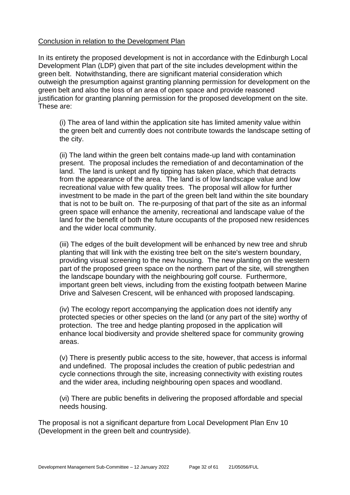#### Conclusion in relation to the Development Plan

In its entirety the proposed development is not in accordance with the Edinburgh Local Development Plan (LDP) given that part of the site includes development within the green belt. Notwithstanding, there are significant material consideration which outweigh the presumption against granting planning permission for development on the green belt and also the loss of an area of open space and provide reasoned justification for granting planning permission for the proposed development on the site. These are:

(i) The area of land within the application site has limited amenity value within the green belt and currently does not contribute towards the landscape setting of the city.

(ii) The land within the green belt contains made-up land with contamination present. The proposal includes the remediation of and decontamination of the land. The land is unkept and fly tipping has taken place, which that detracts from the appearance of the area. The land is of low landscape value and low recreational value with few quality trees. The proposal will allow for further investment to be made in the part of the green belt land within the site boundary that is not to be built on. The re-purposing of that part of the site as an informal green space will enhance the amenity, recreational and landscape value of the land for the benefit of both the future occupants of the proposed new residences and the wider local community.

(iii) The edges of the built development will be enhanced by new tree and shrub planting that will link with the existing tree belt on the site's western boundary, providing visual screening to the new housing. The new planting on the western part of the proposed green space on the northern part of the site, will strengthen the landscape boundary with the neighbouring golf course. Furthermore, important green belt views, including from the existing footpath between Marine Drive and Salvesen Crescent, will be enhanced with proposed landscaping.

(iv) The ecology report accompanying the application does not identify any protected species or other species on the land (or any part of the site) worthy of protection. The tree and hedge planting proposed in the application will enhance local biodiversity and provide sheltered space for community growing areas.

(v) There is presently public access to the site, however, that access is informal and undefined. The proposal includes the creation of public pedestrian and cycle connections through the site, increasing connectivity with existing routes and the wider area, including neighbouring open spaces and woodland.

(vi) There are public benefits in delivering the proposed affordable and special needs housing.

The proposal is not a significant departure from Local Development Plan Env 10 (Development in the green belt and countryside).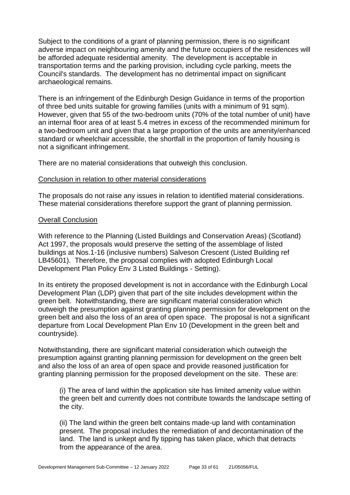Subject to the conditions of a grant of planning permission, there is no significant adverse impact on neighbouring amenity and the future occupiers of the residences will be afforded adequate residential amenity. The development is acceptable in transportation terms and the parking provision, including cycle parking, meets the Council's standards. The development has no detrimental impact on significant archaeological remains.

There is an infringement of the Edinburgh Design Guidance in terms of the proportion of three bed units suitable for growing families (units with a minimum of 91 sqm). However, given that 55 of the two-bedroom units (70% of the total number of unit) have an internal floor area of at least 5.4 metres in excess of the recommended minimum for a two-bedroom unit and given that a large proportion of the units are amenity/enhanced standard or wheelchair accessible, the shortfall in the proportion of family housing is not a significant infringement.

There are no material considerations that outweigh this conclusion.

#### Conclusion in relation to other material considerations

The proposals do not raise any issues in relation to identified material considerations. These material considerations therefore support the grant of planning permission.

#### Overall Conclusion

With reference to the Planning (Listed Buildings and Conservation Areas) (Scotland) Act 1997, the proposals would preserve the setting of the assemblage of listed buildings at Nos.1-16 (inclusive numbers) Salveson Crescent (Listed Building ref LB45601). Therefore, the proposal complies with adopted Edinburgh Local Development Plan Policy Env 3 Listed Buildings - Setting).

In its entirety the proposed development is not in accordance with the Edinburgh Local Development Plan (LDP) given that part of the site includes development within the green belt. Notwithstanding, there are significant material consideration which outweigh the presumption against granting planning permission for development on the green belt and also the loss of an area of open space. The proposal is not a significant departure from Local Development Plan Env 10 (Development in the green belt and countryside).

Notwithstanding, there are significant material consideration which outweigh the presumption against granting planning permission for development on the green belt and also the loss of an area of open space and provide reasoned justification for granting planning permission for the proposed development on the site. These are:

(i) The area of land within the application site has limited amenity value within the green belt and currently does not contribute towards the landscape setting of the city.

(ii) The land within the green belt contains made-up land with contamination present. The proposal includes the remediation of and decontamination of the land. The land is unkept and fly tipping has taken place, which that detracts from the appearance of the area.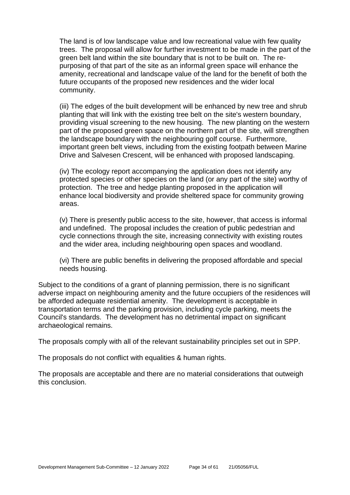The land is of low landscape value and low recreational value with few quality trees. The proposal will allow for further investment to be made in the part of the green belt land within the site boundary that is not to be built on. The repurposing of that part of the site as an informal green space will enhance the amenity, recreational and landscape value of the land for the benefit of both the future occupants of the proposed new residences and the wider local community.

(iii) The edges of the built development will be enhanced by new tree and shrub planting that will link with the existing tree belt on the site's western boundary, providing visual screening to the new housing. The new planting on the western part of the proposed green space on the northern part of the site, will strengthen the landscape boundary with the neighbouring golf course. Furthermore, important green belt views, including from the existing footpath between Marine Drive and Salvesen Crescent, will be enhanced with proposed landscaping.

(iv) The ecology report accompanying the application does not identify any protected species or other species on the land (or any part of the site) worthy of protection. The tree and hedge planting proposed in the application will enhance local biodiversity and provide sheltered space for community growing areas.

(v) There is presently public access to the site, however, that access is informal and undefined. The proposal includes the creation of public pedestrian and cycle connections through the site, increasing connectivity with existing routes and the wider area, including neighbouring open spaces and woodland.

(vi) There are public benefits in delivering the proposed affordable and special needs housing.

Subject to the conditions of a grant of planning permission, there is no significant adverse impact on neighbouring amenity and the future occupiers of the residences will be afforded adequate residential amenity. The development is acceptable in transportation terms and the parking provision, including cycle parking, meets the Council's standards. The development has no detrimental impact on significant archaeological remains.

The proposals comply with all of the relevant sustainability principles set out in SPP.

The proposals do not conflict with equalities & human rights.

The proposals are acceptable and there are no material considerations that outweigh this conclusion.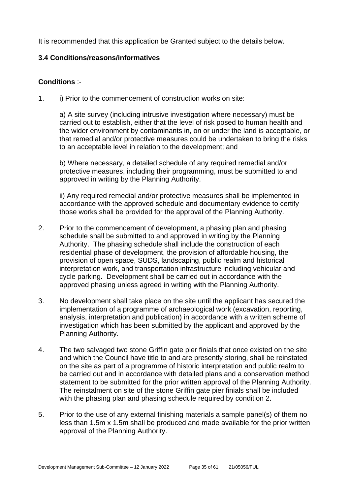It is recommended that this application be Granted subject to the details below.

# **3.4 Conditions/reasons/informatives**

# **Conditions** :-

1. i) Prior to the commencement of construction works on site:

a) A site survey (including intrusive investigation where necessary) must be carried out to establish, either that the level of risk posed to human health and the wider environment by contaminants in, on or under the land is acceptable, or that remedial and/or protective measures could be undertaken to bring the risks to an acceptable level in relation to the development; and

b) Where necessary, a detailed schedule of any required remedial and/or protective measures, including their programming, must be submitted to and approved in writing by the Planning Authority.

ii) Any required remedial and/or protective measures shall be implemented in accordance with the approved schedule and documentary evidence to certify those works shall be provided for the approval of the Planning Authority.

- 2. Prior to the commencement of development, a phasing plan and phasing schedule shall be submitted to and approved in writing by the Planning Authority. The phasing schedule shall include the construction of each residential phase of development, the provision of affordable housing, the provision of open space, SUDS, landscaping, public realm and historical interpretation work, and transportation infrastructure including vehicular and cycle parking. Development shall be carried out in accordance with the approved phasing unless agreed in writing with the Planning Authority.
- 3. No development shall take place on the site until the applicant has secured the implementation of a programme of archaeological work (excavation, reporting, analysis, interpretation and publication) in accordance with a written scheme of investigation which has been submitted by the applicant and approved by the Planning Authority.
- 4. The two salvaged two stone Griffin gate pier finials that once existed on the site and which the Council have title to and are presently storing, shall be reinstated on the site as part of a programme of historic interpretation and public realm to be carried out and in accordance with detailed plans and a conservation method statement to be submitted for the prior written approval of the Planning Authority. The reinstalment on site of the stone Griffin gate pier finials shall be included with the phasing plan and phasing schedule required by condition 2.
- 5. Prior to the use of any external finishing materials a sample panel(s) of them no less than 1.5m x 1.5m shall be produced and made available for the prior written approval of the Planning Authority.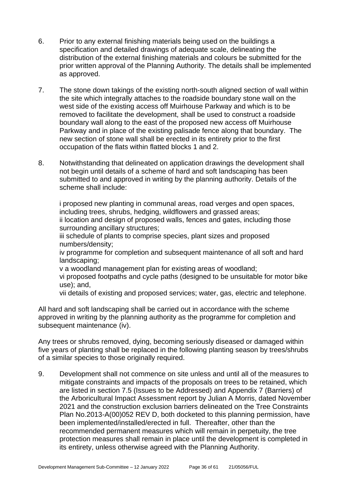- 6. Prior to any external finishing materials being used on the buildings a specification and detailed drawings of adequate scale, delineating the distribution of the external finishing materials and colours be submitted for the prior written approval of the Planning Authority. The details shall be implemented as approved.
- 7. The stone down takings of the existing north-south aligned section of wall within the site which integrally attaches to the roadside boundary stone wall on the west side of the existing access off Muirhouse Parkway and which is to be removed to facilitate the development, shall be used to construct a roadside boundary wall along to the east of the proposed new access off Muirhouse Parkway and in place of the existing palisade fence along that boundary. The new section of stone wall shall be erected in its entirety prior to the first occupation of the flats within flatted blocks 1 and 2.
- 8. Notwithstanding that delineated on application drawings the development shall not begin until details of a scheme of hard and soft landscaping has been submitted to and approved in writing by the planning authority. Details of the scheme shall include:

i proposed new planting in communal areas, road verges and open spaces, including trees, shrubs, hedging, wildflowers and grassed areas; ii location and design of proposed walls, fences and gates, including those surrounding ancillary structures;

iii schedule of plants to comprise species, plant sizes and proposed numbers/density;

iv programme for completion and subsequent maintenance of all soft and hard landscaping;

v a woodland management plan for existing areas of woodland;

vi proposed footpaths and cycle paths (designed to be unsuitable for motor bike use); and,

vii details of existing and proposed services; water, gas, electric and telephone.

All hard and soft landscaping shall be carried out in accordance with the scheme approved in writing by the planning authority as the programme for completion and subsequent maintenance (iv).

Any trees or shrubs removed, dying, becoming seriously diseased or damaged within five years of planting shall be replaced in the following planting season by trees/shrubs of a similar species to those originally required.

9. Development shall not commence on site unless and until all of the measures to mitigate constraints and impacts of the proposals on trees to be retained, which are listed in section 7.5 (Issues to be Addressed) and Appendix 7 (Barriers) of the Arboricultural Impact Assessment report by Julian A Morris, dated November 2021 and the construction exclusion barriers delineated on the Tree Constraints Plan No.2013-A(00)052 REV D, both docketed to this planning permission, have been implemented/installed/erected in full. Thereafter, other than the recommended permanent measures which will remain in perpetuity, the tree protection measures shall remain in place until the development is completed in its entirety, unless otherwise agreed with the Planning Authority.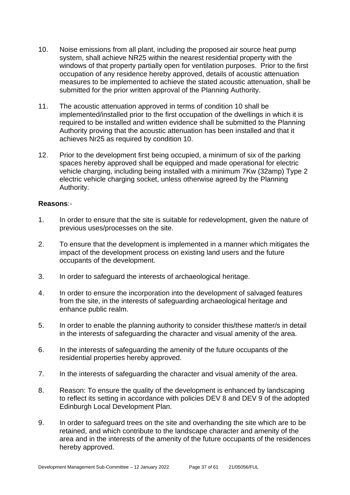- 10. Noise emissions from all plant, including the proposed air source heat pump system, shall achieve NR25 within the nearest residential property with the windows of that property partially open for ventilation purposes. Prior to the first occupation of any residence hereby approved, details of acoustic attenuation measures to be implemented to achieve the stated acoustic attenuation, shall be submitted for the prior written approval of the Planning Authority.
- 11. The acoustic attenuation approved in terms of condition 10 shall be implemented/installed prior to the first occupation of the dwellings in which it is required to be installed and written evidence shall be submitted to the Planning Authority proving that the acoustic attenuation has been installed and that it achieves Nr25 as required by condition 10.
- 12. Prior to the development first being occupied, a minimum of six of the parking spaces hereby approved shall be equipped and made operational for electric vehicle charging, including being installed with a minimum 7Kw (32amp) Type 2 electric vehicle charging socket, unless otherwise agreed by the Planning Authority.

# **Reasons**:-

- 1. In order to ensure that the site is suitable for redevelopment, given the nature of previous uses/processes on the site.
- 2. To ensure that the development is implemented in a manner which mitigates the impact of the development process on existing land users and the future occupants of the development.
- 3. In order to safeguard the interests of archaeological heritage.
- 4. In order to ensure the incorporation into the development of salvaged features from the site, in the interests of safeguarding archaeological heritage and enhance public realm.
- 5. In order to enable the planning authority to consider this/these matter/s in detail in the interests of safeguarding the character and visual amenity of the area.
- 6. In the interests of safeguarding the amenity of the future occupants of the residential properties hereby approved.
- 7. In the interests of safeguarding the character and visual amenity of the area.
- 8. Reason: To ensure the quality of the development is enhanced by landscaping to reflect its setting in accordance with policies DEV 8 and DEV 9 of the adopted Edinburgh Local Development Plan.
- 9. In order to safeguard trees on the site and overhanding the site which are to be retained, and which contribute to the landscape character and amenity of the area and in the interests of the amenity of the future occupants of the residences hereby approved.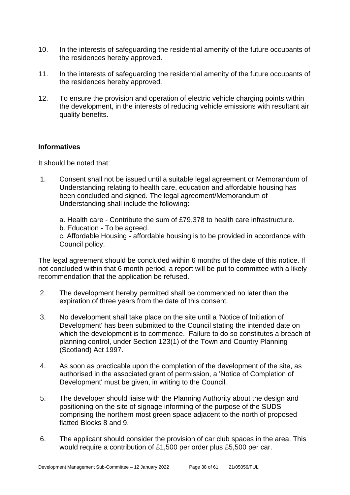- 10. In the interests of safeguarding the residential amenity of the future occupants of the residences hereby approved.
- 11. In the interests of safeguarding the residential amenity of the future occupants of the residences hereby approved.
- 12. To ensure the provision and operation of electric vehicle charging points within the development, in the interests of reducing vehicle emissions with resultant air quality benefits.

# **Informatives**

It should be noted that:

- 1. Consent shall not be issued until a suitable legal agreement or Memorandum of Understanding relating to health care, education and affordable housing has been concluded and signed. The legal agreement/Memorandum of Understanding shall include the following:
	- a. Health care Contribute the sum of £79,378 to health care infrastructure.
	- b. Education To be agreed.

c. Affordable Housing - affordable housing is to be provided in accordance with Council policy.

The legal agreement should be concluded within 6 months of the date of this notice. If not concluded within that 6 month period, a report will be put to committee with a likely recommendation that the application be refused.

- 2. The development hereby permitted shall be commenced no later than the expiration of three years from the date of this consent.
- 3. No development shall take place on the site until a 'Notice of Initiation of Development' has been submitted to the Council stating the intended date on which the development is to commence. Failure to do so constitutes a breach of planning control, under Section 123(1) of the Town and Country Planning (Scotland) Act 1997.
- 4. As soon as practicable upon the completion of the development of the site, as authorised in the associated grant of permission, a 'Notice of Completion of Development' must be given, in writing to the Council.
- 5. The developer should liaise with the Planning Authority about the design and positioning on the site of signage informing of the purpose of the SUDS comprising the northern most green space adjacent to the north of proposed flatted Blocks 8 and 9.
- 6. The applicant should consider the provision of car club spaces in the area. This would require a contribution of £1,500 per order plus £5,500 per car.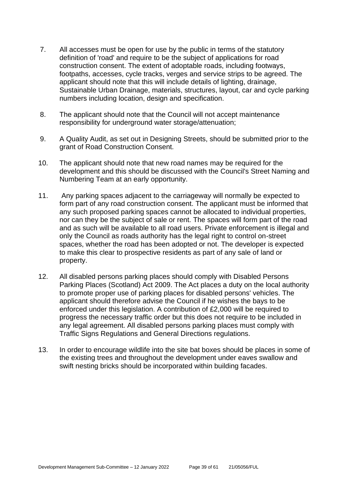- 7. All accesses must be open for use by the public in terms of the statutory definition of 'road' and require to be the subject of applications for road construction consent. The extent of adoptable roads, including footways, footpaths, accesses, cycle tracks, verges and service strips to be agreed. The applicant should note that this will include details of lighting, drainage, Sustainable Urban Drainage, materials, structures, layout, car and cycle parking numbers including location, design and specification.
- 8. The applicant should note that the Council will not accept maintenance responsibility for underground water storage/attenuation;
- 9. A Quality Audit, as set out in Designing Streets, should be submitted prior to the grant of Road Construction Consent.
- 10. The applicant should note that new road names may be required for the development and this should be discussed with the Council's Street Naming and Numbering Team at an early opportunity.
- 11. Any parking spaces adjacent to the carriageway will normally be expected to form part of any road construction consent. The applicant must be informed that any such proposed parking spaces cannot be allocated to individual properties, nor can they be the subject of sale or rent. The spaces will form part of the road and as such will be available to all road users. Private enforcement is illegal and only the Council as roads authority has the legal right to control on-street spaces, whether the road has been adopted or not. The developer is expected to make this clear to prospective residents as part of any sale of land or property.
- 12. All disabled persons parking places should comply with Disabled Persons Parking Places (Scotland) Act 2009. The Act places a duty on the local authority to promote proper use of parking places for disabled persons' vehicles. The applicant should therefore advise the Council if he wishes the bays to be enforced under this legislation. A contribution of £2,000 will be required to progress the necessary traffic order but this does not require to be included in any legal agreement. All disabled persons parking places must comply with Traffic Signs Regulations and General Directions regulations.
- 13. In order to encourage wildlife into the site bat boxes should be places in some of the existing trees and throughout the development under eaves swallow and swift nesting bricks should be incorporated within building facades.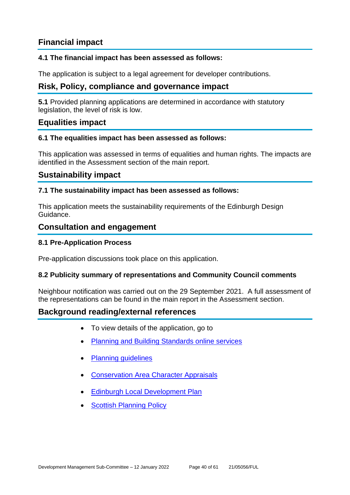# **Financial impact**

# **4.1 The financial impact has been assessed as follows:**

The application is subject to a legal agreement for developer contributions.

# **Risk, Policy, compliance and governance impact**

**5.1** Provided planning applications are determined in accordance with statutory legislation, the level of risk is low.

# **Equalities impact**

#### **6.1 The equalities impact has been assessed as follows:**

This application was assessed in terms of equalities and human rights. The impacts are identified in the Assessment section of the main report.

# **Sustainability impact**

#### **7.1 The sustainability impact has been assessed as follows:**

This application meets the sustainability requirements of the Edinburgh Design Guidance.

# **Consultation and engagement**

#### **8.1 Pre-Application Process**

Pre-application discussions took place on this application.

# **8.2 Publicity summary of representations and Community Council comments**

Neighbour notification was carried out on the 29 September 2021. A full assessment of the representations can be found in the main report in the Assessment section.

# **Background reading/external references**

- To view details of the application, go to
- [Planning and Building Standards online services](https://citydev-portal.edinburgh.gov.uk/idoxpa-web/search.do?action=simple&searchType=Application)
- [Planning guidelines](http://www.edinburgh.gov.uk/planningguidelines)
- [Conservation Area Character Appraisals](http://www.edinburgh.gov.uk/characterappraisals)
- [Edinburgh Local Development Plan](http://www.edinburgh.gov.uk/localdevelopmentplan)
- **[Scottish Planning](http://www.scotland.gov.uk/Topics/Built-Environment/planning/Policy) Policy**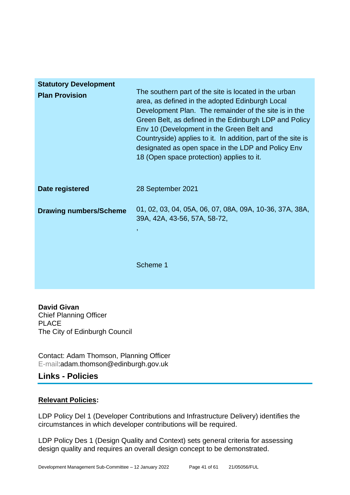| <b>Statutory Development</b>  |                                                                                                                                                                                                                                                                                                                                                                                                                                             |
|-------------------------------|---------------------------------------------------------------------------------------------------------------------------------------------------------------------------------------------------------------------------------------------------------------------------------------------------------------------------------------------------------------------------------------------------------------------------------------------|
| <b>Plan Provision</b>         | The southern part of the site is located in the urban<br>area, as defined in the adopted Edinburgh Local<br>Development Plan. The remainder of the site is in the<br>Green Belt, as defined in the Edinburgh LDP and Policy<br>Env 10 (Development in the Green Belt and<br>Countryside) applies to it. In addition, part of the site is<br>designated as open space in the LDP and Policy Env<br>18 (Open space protection) applies to it. |
| Date registered               | 28 September 2021                                                                                                                                                                                                                                                                                                                                                                                                                           |
| <b>Drawing numbers/Scheme</b> | 01, 02, 03, 04, 05A, 06, 07, 08A, 09A, 10-36, 37A, 38A,<br>39A, 42A, 43-56, 57A, 58-72,<br>$\mathbf{r}$                                                                                                                                                                                                                                                                                                                                     |
|                               | Scheme 1                                                                                                                                                                                                                                                                                                                                                                                                                                    |

**David Givan** Chief Planning Officer PLACE The City of Edinburgh Council

Contact: Adam Thomson, Planning Officer E-mail:adam.thomson@edinburgh.gov.uk

# **Links - Policies**

# **Relevant Policies:**

LDP Policy Del 1 (Developer Contributions and Infrastructure Delivery) identifies the circumstances in which developer contributions will be required.

LDP Policy Des 1 (Design Quality and Context) sets general criteria for assessing design quality and requires an overall design concept to be demonstrated.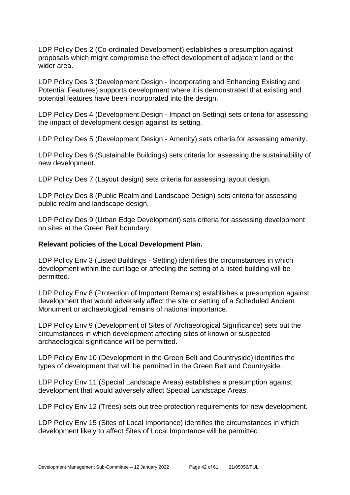LDP Policy Des 2 (Co-ordinated Development) establishes a presumption against proposals which might compromise the effect development of adjacent land or the wider area.

LDP Policy Des 3 (Development Design - Incorporating and Enhancing Existing and Potential Features) supports development where it is demonstrated that existing and potential features have been incorporated into the design.

LDP Policy Des 4 (Development Design - Impact on Setting) sets criteria for assessing the impact of development design against its setting.

LDP Policy Des 5 (Development Design - Amenity) sets criteria for assessing amenity.

LDP Policy Des 6 (Sustainable Buildings) sets criteria for assessing the sustainability of new development.

LDP Policy Des 7 (Layout design) sets criteria for assessing layout design.

LDP Policy Des 8 (Public Realm and Landscape Design) sets criteria for assessing public realm and landscape design.

LDP Policy Des 9 (Urban Edge Development) sets criteria for assessing development on sites at the Green Belt boundary.

# **Relevant policies of the Local Development Plan.**

LDP Policy Env 3 (Listed Buildings - Setting) identifies the circumstances in which development within the curtilage or affecting the setting of a listed building will be permitted.

LDP Policy Env 8 (Protection of Important Remains) establishes a presumption against development that would adversely affect the site or setting of a Scheduled Ancient Monument or archaeological remains of national importance.

LDP Policy Env 9 (Development of Sites of Archaeological Significance) sets out the circumstances in which development affecting sites of known or suspected archaeological significance will be permitted.

LDP Policy Env 10 (Development in the Green Belt and Countryside) identifies the types of development that will be permitted in the Green Belt and Countryside.

LDP Policy Env 11 (Special Landscape Areas) establishes a presumption against development that would adversely affect Special Landscape Areas.

LDP Policy Env 12 (Trees) sets out tree protection requirements for new development.

LDP Policy Env 15 (Sites of Local Importance) identifies the circumstances in which development likely to affect Sites of Local Importance will be permitted.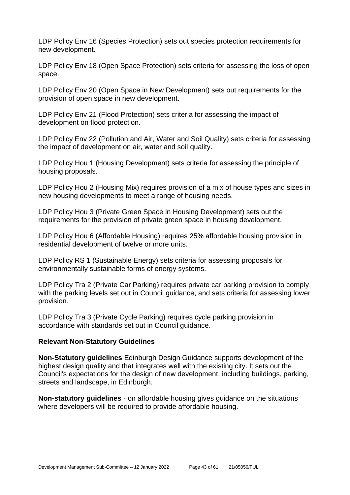LDP Policy Env 16 (Species Protection) sets out species protection requirements for new development.

LDP Policy Env 18 (Open Space Protection) sets criteria for assessing the loss of open space.

LDP Policy Env 20 (Open Space in New Development) sets out requirements for the provision of open space in new development.

LDP Policy Env 21 (Flood Protection) sets criteria for assessing the impact of development on flood protection.

LDP Policy Env 22 (Pollution and Air, Water and Soil Quality) sets criteria for assessing the impact of development on air, water and soil quality.

LDP Policy Hou 1 (Housing Development) sets criteria for assessing the principle of housing proposals.

LDP Policy Hou 2 (Housing Mix) requires provision of a mix of house types and sizes in new housing developments to meet a range of housing needs.

LDP Policy Hou 3 (Private Green Space in Housing Development) sets out the requirements for the provision of private green space in housing development.

LDP Policy Hou 6 (Affordable Housing) requires 25% affordable housing provision in residential development of twelve or more units.

LDP Policy RS 1 (Sustainable Energy) sets criteria for assessing proposals for environmentally sustainable forms of energy systems.

LDP Policy Tra 2 (Private Car Parking) requires private car parking provision to comply with the parking levels set out in Council guidance, and sets criteria for assessing lower provision.

LDP Policy Tra 3 (Private Cycle Parking) requires cycle parking provision in accordance with standards set out in Council guidance.

#### **Relevant Non-Statutory Guidelines**

**Non-Statutory guidelines** Edinburgh Design Guidance supports development of the highest design quality and that integrates well with the existing city. It sets out the Council's expectations for the design of new development, including buildings, parking, streets and landscape, in Edinburgh.

**Non-statutory guidelines** - on affordable housing gives guidance on the situations where developers will be required to provide affordable housing.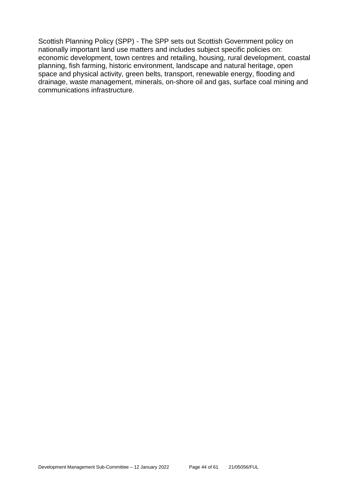Scottish Planning Policy (SPP) - The SPP sets out Scottish Government policy on nationally important land use matters and includes subject specific policies on: economic development, town centres and retailing, housing, rural development, coastal planning, fish farming, historic environment, landscape and natural heritage, open space and physical activity, green belts, transport, renewable energy, flooding and drainage, waste management, minerals, on-shore oil and gas, surface coal mining and communications infrastructure.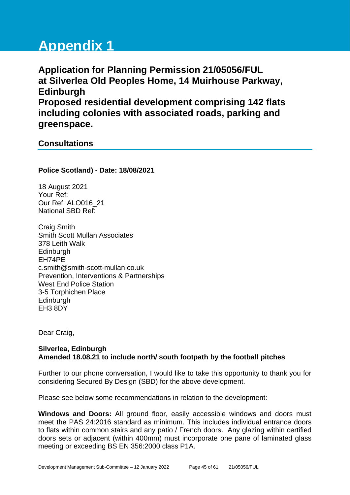# **Appendix 1**

**Application for Planning Permission 21/05056/FUL at Silverlea Old Peoples Home, 14 Muirhouse Parkway, Edinburgh Proposed residential development comprising 142 flats including colonies with associated roads, parking and greenspace.**

# **Consultations**

**Police Scotland) - Date: 18/08/2021**

18 August 2021 Your Ref: Our Ref: ALO016\_21 National SBD Ref:

Craig Smith Smith Scott Mullan Associates 378 Leith Walk Edinburgh EH74PE c.smith@smith-scott-mullan.co.uk Prevention, Interventions & Partnerships West End Police Station 3-5 Torphichen Place **Edinburgh** EH3 8DY

Dear Craig,

# **Silverlea, Edinburgh Amended 18.08.21 to include north/ south footpath by the football pitches**

Further to our phone conversation, I would like to take this opportunity to thank you for considering Secured By Design (SBD) for the above development.

Please see below some recommendations in relation to the development:

**Windows and Doors:** All ground floor, easily accessible windows and doors must meet the PAS 24:2016 standard as minimum. This includes individual entrance doors to flats within common stairs and any patio / French doors. Any glazing within certified doors sets or adjacent (within 400mm) must incorporate one pane of laminated glass meeting or exceeding BS EN 356:2000 class P1A.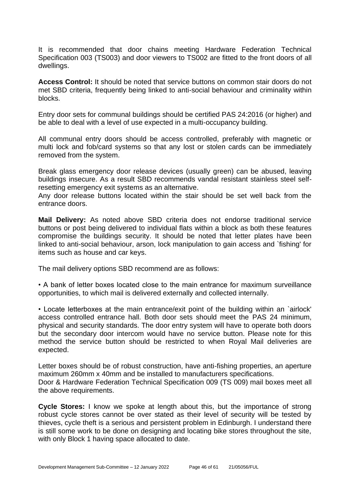It is recommended that door chains meeting Hardware Federation Technical Specification 003 (TS003) and door viewers to TS002 are fitted to the front doors of all dwellings.

**Access Control:** It should be noted that service buttons on common stair doors do not met SBD criteria, frequently being linked to anti-social behaviour and criminality within blocks.

Entry door sets for communal buildings should be certified PAS 24:2016 (or higher) and be able to deal with a level of use expected in a multi-occupancy building.

All communal entry doors should be access controlled, preferably with magnetic or multi lock and fob/card systems so that any lost or stolen cards can be immediately removed from the system.

Break glass emergency door release devices (usually green) can be abused, leaving buildings insecure. As a result SBD recommends vandal resistant stainless steel selfresetting emergency exit systems as an alternative.

Any door release buttons located within the stair should be set well back from the entrance doors.

**Mail Delivery:** As noted above SBD criteria does not endorse traditional service buttons or post being delivered to individual flats within a block as both these features compromise the buildings security. It should be noted that letter plates have been linked to anti-social behaviour, arson, lock manipulation to gain access and `fishing' for items such as house and car keys.

The mail delivery options SBD recommend are as follows:

• A bank of letter boxes located close to the main entrance for maximum surveillance opportunities, to which mail is delivered externally and collected internally.

• Locate letterboxes at the main entrance/exit point of the building within an `airlock' access controlled entrance hall. Both door sets should meet the PAS 24 minimum, physical and security standards. The door entry system will have to operate both doors but the secondary door intercom would have no service button. Please note for this method the service button should be restricted to when Royal Mail deliveries are expected.

Letter boxes should be of robust construction, have anti-fishing properties, an aperture maximum 260mm x 40mm and be installed to manufacturers specifications. Door & Hardware Federation Technical Specification 009 (TS 009) mail boxes meet all the above requirements.

**Cycle Stores:** I know we spoke at length about this, but the importance of strong robust cycle stores cannot be over stated as their level of security will be tested by thieves, cycle theft is a serious and persistent problem in Edinburgh. I understand there is still some work to be done on designing and locating bike stores throughout the site, with only Block 1 having space allocated to date.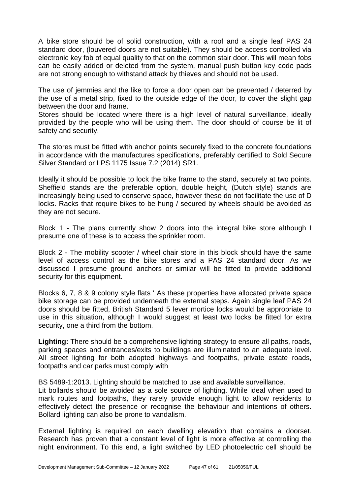A bike store should be of solid construction, with a roof and a single leaf PAS 24 standard door, (louvered doors are not suitable). They should be access controlled via electronic key fob of equal quality to that on the common stair door. This will mean fobs can be easily added or deleted from the system, manual push button key code pads are not strong enough to withstand attack by thieves and should not be used.

The use of jemmies and the like to force a door open can be prevented / deterred by the use of a metal strip, fixed to the outside edge of the door, to cover the slight gap between the door and frame.

Stores should be located where there is a high level of natural surveillance, ideally provided by the people who will be using them. The door should of course be lit of safety and security.

The stores must be fitted with anchor points securely fixed to the concrete foundations in accordance with the manufactures specifications, preferably certified to Sold Secure Silver Standard or LPS 1175 Issue 7.2 (2014) SR1.

Ideally it should be possible to lock the bike frame to the stand, securely at two points. Sheffield stands are the preferable option, double height, (Dutch style) stands are increasingly being used to conserve space, however these do not facilitate the use of D locks. Racks that require bikes to be hung / secured by wheels should be avoided as they are not secure.

Block 1 - The plans currently show 2 doors into the integral bike store although I presume one of these is to access the sprinkler room.

Block 2 - The mobility scooter / wheel chair store in this block should have the same level of access control as the bike stores and a PAS 24 standard door. As we discussed I presume ground anchors or similar will be fitted to provide additional security for this equipment.

Blocks 6, 7, 8 & 9 colony style flats ' As these properties have allocated private space bike storage can be provided underneath the external steps. Again single leaf PAS 24 doors should be fitted, British Standard 5 lever mortice locks would be appropriate to use in this situation, although I would suggest at least two locks be fitted for extra security, one a third from the bottom.

**Lighting:** There should be a comprehensive lighting strategy to ensure all paths, roads, parking spaces and entrances/exits to buildings are illuminated to an adequate level. All street lighting for both adopted highways and footpaths, private estate roads, footpaths and car parks must comply with

BS 5489-1:2013. Lighting should be matched to use and available surveillance.

Lit bollards should be avoided as a sole source of lighting. While ideal when used to mark routes and footpaths, they rarely provide enough light to allow residents to effectively detect the presence or recognise the behaviour and intentions of others. Bollard lighting can also be prone to vandalism.

External lighting is required on each dwelling elevation that contains a doorset. Research has proven that a constant level of light is more effective at controlling the night environment. To this end, a light switched by LED photoelectric cell should be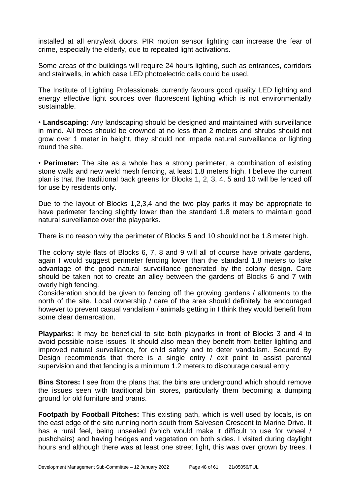installed at all entry/exit doors. PIR motion sensor lighting can increase the fear of crime, especially the elderly, due to repeated light activations.

Some areas of the buildings will require 24 hours lighting, such as entrances, corridors and stairwells, in which case LED photoelectric cells could be used.

The Institute of Lighting Professionals currently favours good quality LED lighting and energy effective light sources over fluorescent lighting which is not environmentally sustainable.

• **Landscaping:** Any landscaping should be designed and maintained with surveillance in mind. All trees should be crowned at no less than 2 meters and shrubs should not grow over 1 meter in height, they should not impede natural surveillance or lighting round the site.

• **Perimeter:** The site as a whole has a strong perimeter, a combination of existing stone walls and new weld mesh fencing, at least 1.8 meters high. I believe the current plan is that the traditional back greens for Blocks 1, 2, 3, 4, 5 and 10 will be fenced off for use by residents only.

Due to the layout of Blocks 1,2,3,4 and the two play parks it may be appropriate to have perimeter fencing slightly lower than the standard 1.8 meters to maintain good natural surveillance over the playparks.

There is no reason why the perimeter of Blocks 5 and 10 should not be 1.8 meter high.

The colony style flats of Blocks 6, 7, 8 and 9 will all of course have private gardens, again I would suggest perimeter fencing lower than the standard 1.8 meters to take advantage of the good natural surveillance generated by the colony design. Care should be taken not to create an alley between the gardens of Blocks 6 and 7 with overly high fencing.

Consideration should be given to fencing off the growing gardens / allotments to the north of the site. Local ownership / care of the area should definitely be encouraged however to prevent casual vandalism / animals getting in I think they would benefit from some clear demarcation.

**Playparks:** It may be beneficial to site both playparks in front of Blocks 3 and 4 to avoid possible noise issues. It should also mean they benefit from better lighting and improved natural surveillance, for child safety and to deter vandalism. Secured By Design recommends that there is a single entry / exit point to assist parental supervision and that fencing is a minimum 1.2 meters to discourage casual entry.

**Bins Stores:** I see from the plans that the bins are underground which should remove the issues seen with traditional bin stores, particularly them becoming a dumping ground for old furniture and prams.

**Footpath by Football Pitches:** This existing path, which is well used by locals, is on the east edge of the site running north south from Salvesen Crescent to Marine Drive. It has a rural feel, being unsealed (which would make it difficult to use for wheel / pushchairs) and having hedges and vegetation on both sides. I visited during daylight hours and although there was at least one street light, this was over grown by trees. I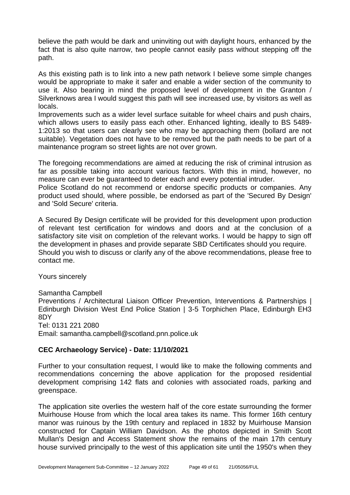believe the path would be dark and uninviting out with daylight hours, enhanced by the fact that is also quite narrow, two people cannot easily pass without stepping off the path.

As this existing path is to link into a new path network I believe some simple changes would be appropriate to make it safer and enable a wider section of the community to use it. Also bearing in mind the proposed level of development in the Granton / Silverknows area I would suggest this path will see increased use, by visitors as well as locals.

Improvements such as a wider level surface suitable for wheel chairs and push chairs, which allows users to easily pass each other. Enhanced lighting, ideally to BS 5489- 1:2013 so that users can clearly see who may be approaching them (bollard are not suitable). Vegetation does not have to be removed but the path needs to be part of a maintenance program so street lights are not over grown.

The foregoing recommendations are aimed at reducing the risk of criminal intrusion as far as possible taking into account various factors. With this in mind, however, no measure can ever be guaranteed to deter each and every potential intruder.

Police Scotland do not recommend or endorse specific products or companies. Any product used should, where possible, be endorsed as part of the 'Secured By Design' and 'Sold Secure' criteria.

A Secured By Design certificate will be provided for this development upon production of relevant test certification for windows and doors and at the conclusion of a satisfactory site visit on completion of the relevant works. I would be happy to sign off the development in phases and provide separate SBD Certificates should you require. Should you wish to discuss or clarify any of the above recommendations, please free to contact me.

Yours sincerely

# Samantha Campbell

Preventions / Architectural Liaison Officer Prevention, Interventions & Partnerships | Edinburgh Division West End Police Station | 3-5 Torphichen Place, Edinburgh EH3 8DY

Tel: 0131 221 2080

Email: samantha.campbell@scotland.pnn.police.uk

# **CEC Archaeology Service) - Date: 11/10/2021**

Further to your consultation request, I would like to make the following comments and recommendations concerning the above application for the proposed residential development comprising 142 flats and colonies with associated roads, parking and greenspace.

The application site overlies the western half of the core estate surrounding the former Muirhouse House from which the local area takes its name. This former 16th century manor was ruinous by the 19th century and replaced in 1832 by Muirhouse Mansion constructed for Captain William Davidson. As the photos depicted in Smith Scott Mullan's Design and Access Statement show the remains of the main 17th century house survived principally to the west of this application site until the 1950's when they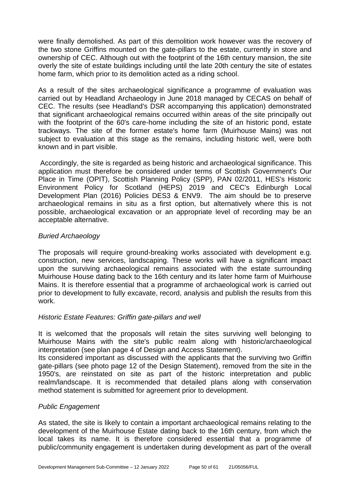were finally demolished. As part of this demolition work however was the recovery of the two stone Griffins mounted on the gate-pillars to the estate, currently in store and ownership of CEC. Although out with the footprint of the 16th century mansion, the site overly the site of estate buildings including until the late 20th century the site of estates home farm, which prior to its demolition acted as a riding school.

As a result of the sites archaeological significance a programme of evaluation was carried out by Headland Archaeology in June 2018 managed by CECAS on behalf of CEC. The results (see Headland's DSR accompanying this application) demonstrated that significant archaeological remains occurred within areas of the site principally out with the footprint of the 60's care-home including the site of an historic pond, estate trackways. The site of the former estate's home farm (Muirhouse Mains) was not subiect to evaluation at this stage as the remains, including historic well, were both known and in part visible.

Accordingly, the site is regarded as being historic and archaeological significance. This application must therefore be considered under terms of Scottish Government's Our Place in Time (OPIT), Scottish Planning Policy (SPP), PAN 02/2011, HES's Historic Environment Policy for Scotland (HEPS) 2019 and CEC's Edinburgh Local Development Plan (2016) Policies DES3 & ENV9. The aim should be to preserve archaeological remains in situ as a first option, but alternatively where this is not possible, archaeological excavation or an appropriate level of recording may be an acceptable alternative.

# *Buried Archaeology*

The proposals will require ground-breaking works associated with development e.g. construction, new services, landscaping. These works will have a significant impact upon the surviving archaeological remains associated with the estate surrounding Muirhouse House dating back to the 16th century and its later home farm of Muirhouse Mains. It is therefore essential that a programme of archaeological work is carried out prior to development to fully excavate, record, analysis and publish the results from this work.

# *Historic Estate Features: Griffin gate-pillars and well*

It is welcomed that the proposals will retain the sites surviving well belonging to Muirhouse Mains with the site's public realm along with historic/archaeological interpretation (see plan page 4 of Design and Access Statement).

Its considered important as discussed with the applicants that the surviving two Griffin gate-pillars (see photo page 12 of the Design Statement), removed from the site in the 1950's, are reinstated on site as part of the historic interpretation and public realm/landscape. It is recommended that detailed plans along with conservation method statement is submitted for agreement prior to development.

# *Public Engagement*

As stated, the site is likely to contain a important archaeological remains relating to the development of the Muirhouse Estate dating back to the 16th century, from which the local takes its name. It is therefore considered essential that a programme of public/community engagement is undertaken during development as part of the overall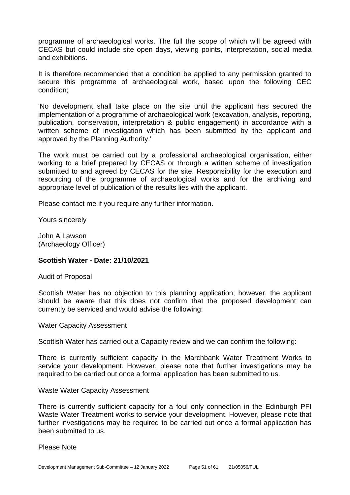programme of archaeological works. The full the scope of which will be agreed with CECAS but could include site open days, viewing points, interpretation, social media and exhibitions.

It is therefore recommended that a condition be applied to any permission granted to secure this programme of archaeological work, based upon the following CEC condition;

'No development shall take place on the site until the applicant has secured the implementation of a programme of archaeological work (excavation, analysis, reporting, publication, conservation, interpretation & public engagement) in accordance with a written scheme of investigation which has been submitted by the applicant and approved by the Planning Authority.'

The work must be carried out by a professional archaeological organisation, either working to a brief prepared by CECAS or through a written scheme of investigation submitted to and agreed by CECAS for the site. Responsibility for the execution and resourcing of the programme of archaeological works and for the archiving and appropriate level of publication of the results lies with the applicant.

Please contact me if you require any further information.

Yours sincerely

John A Lawson (Archaeology Officer)

# **Scottish Water - Date: 21/10/2021**

Audit of Proposal

Scottish Water has no objection to this planning application; however, the applicant should be aware that this does not confirm that the proposed development can currently be serviced and would advise the following:

Water Capacity Assessment

Scottish Water has carried out a Capacity review and we can confirm the following:

There is currently sufficient capacity in the Marchbank Water Treatment Works to service your development. However, please note that further investigations may be required to be carried out once a formal application has been submitted to us.

Waste Water Capacity Assessment

There is currently sufficient capacity for a foul only connection in the Edinburgh PFI Waste Water Treatment works to service your development. However, please note that further investigations may be required to be carried out once a formal application has been submitted to us.

Please Note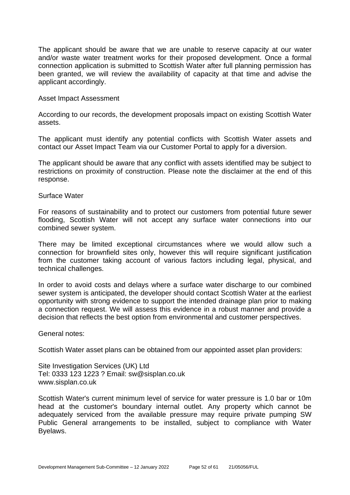The applicant should be aware that we are unable to reserve capacity at our water and/or waste water treatment works for their proposed development. Once a formal connection application is submitted to Scottish Water after full planning permission has been granted, we will review the availability of capacity at that time and advise the applicant accordingly.

#### Asset Impact Assessment

According to our records, the development proposals impact on existing Scottish Water assets.

The applicant must identify any potential conflicts with Scottish Water assets and contact our Asset Impact Team via our Customer Portal to apply for a diversion.

The applicant should be aware that any conflict with assets identified may be subject to restrictions on proximity of construction. Please note the disclaimer at the end of this response.

#### Surface Water

For reasons of sustainability and to protect our customers from potential future sewer flooding, Scottish Water will not accept any surface water connections into our combined sewer system.

There may be limited exceptional circumstances where we would allow such a connection for brownfield sites only, however this will require significant justification from the customer taking account of various factors including legal, physical, and technical challenges.

In order to avoid costs and delays where a surface water discharge to our combined sewer system is anticipated, the developer should contact Scottish Water at the earliest opportunity with strong evidence to support the intended drainage plan prior to making a connection request. We will assess this evidence in a robust manner and provide a decision that reflects the best option from environmental and customer perspectives.

General notes:

Scottish Water asset plans can be obtained from our appointed asset plan providers:

Site Investigation Services (UK) Ltd Tel: 0333 123 1223 ? Email: sw@sisplan.co.uk www.sisplan.co.uk

Scottish Water's current minimum level of service for water pressure is 1.0 bar or 10m head at the customer's boundary internal outlet. Any property which cannot be adequately serviced from the available pressure may require private pumping SW Public General arrangements to be installed, subject to compliance with Water Byelaws.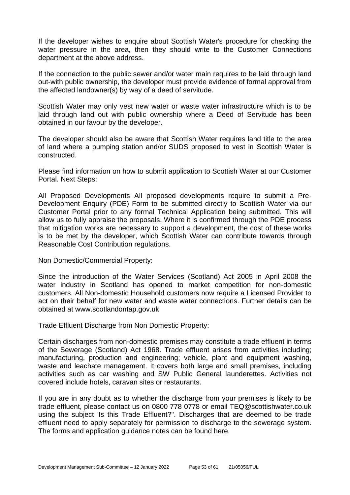If the developer wishes to enquire about Scottish Water's procedure for checking the water pressure in the area, then they should write to the Customer Connections department at the above address.

If the connection to the public sewer and/or water main requires to be laid through land out-with public ownership, the developer must provide evidence of formal approval from the affected landowner(s) by way of a deed of servitude.

Scottish Water may only vest new water or waste water infrastructure which is to be laid through land out with public ownership where a Deed of Servitude has been obtained in our favour by the developer.

The developer should also be aware that Scottish Water requires land title to the area of land where a pumping station and/or SUDS proposed to vest in Scottish Water is constructed.

Please find information on how to submit application to Scottish Water at our Customer Portal. Next Steps:

All Proposed Developments All proposed developments require to submit a Pre-Development Enquiry (PDE) Form to be submitted directly to Scottish Water via our Customer Portal prior to any formal Technical Application being submitted. This will allow us to fully appraise the proposals. Where it is confirmed through the PDE process that mitigation works are necessary to support a development, the cost of these works is to be met by the developer, which Scottish Water can contribute towards through Reasonable Cost Contribution regulations.

Non Domestic/Commercial Property:

Since the introduction of the Water Services (Scotland) Act 2005 in April 2008 the water industry in Scotland has opened to market competition for non-domestic customers. All Non-domestic Household customers now require a Licensed Provider to act on their behalf for new water and waste water connections. Further details can be obtained at www.scotlandontap.gov.uk

Trade Effluent Discharge from Non Domestic Property:

Certain discharges from non-domestic premises may constitute a trade effluent in terms of the Sewerage (Scotland) Act 1968. Trade effluent arises from activities including; manufacturing, production and engineering; vehicle, plant and equipment washing, waste and leachate management. It covers both large and small premises, including activities such as car washing and SW Public General launderettes. Activities not covered include hotels, caravan sites or restaurants.

If you are in any doubt as to whether the discharge from your premises is likely to be trade effluent, please contact us on 0800 778 0778 or email TEQ@scottishwater.co.uk using the subject 'Is this Trade Effluent?". Discharges that are deemed to be trade effluent need to apply separately for permission to discharge to the sewerage system. The forms and application guidance notes can be found here.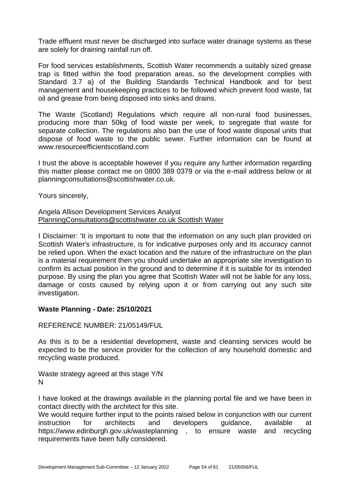Trade effluent must never be discharged into surface water drainage systems as these are solely for draining rainfall run off.

For food services establishments, Scottish Water recommends a suitably sized grease trap is fitted within the food preparation areas, so the development complies with Standard 3.7 a) of the Building Standards Technical Handbook and for best management and housekeeping practices to be followed which prevent food waste, fat oil and grease from being disposed into sinks and drains.

The Waste (Scotland) Regulations which require all non-rural food businesses, producing more than 50kg of food waste per week, to segregate that waste for separate collection. The regulations also ban the use of food waste disposal units that dispose of food waste to the public sewer. Further information can be found at www.resourceefficientscotland.com

I trust the above is acceptable however if you require any further information regarding this matter please contact me on 0800 389 0379 or via the e-mail address below or at planningconsultations@scottishwater.co.uk.

Yours sincerely,

#### Angela Allison Development Services Analyst PlanningConsultations@scottishwater.co.uk Scottish Water

I Disclaimer: 'It is important to note that the information on any such plan provided on Scottish Water's infrastructure, is for indicative purposes only and its accuracy cannot be relied upon. When the exact location and the nature of the infrastructure on the plan is a material requirement then you should undertake an appropriate site investigation to confirm its actual position in the ground and to determine if it is suitable for its intended purpose. By using the plan you agree that Scottish Water will not be liable for any loss, damage or costs caused by relying upon it or from carrying out any such site investigation.

# **Waste Planning - Date: 25/10/2021**

REFERENCE NUMBER: 21/05149/FUL

As this is to be a residential development, waste and cleansing services would be expected to be the service provider for the collection of any household domestic and recycling waste produced.

Waste strategy agreed at this stage Y/N N

I have looked at the drawings available in the planning portal file and we have been in contact directly with the architect for this site.

We would require further input to the points raised below in conjunction with our current instruction for architects and developers guidance, available at https://www.edinburgh.gov.uk/wasteplanning , to ensure waste and recycling requirements have been fully considered.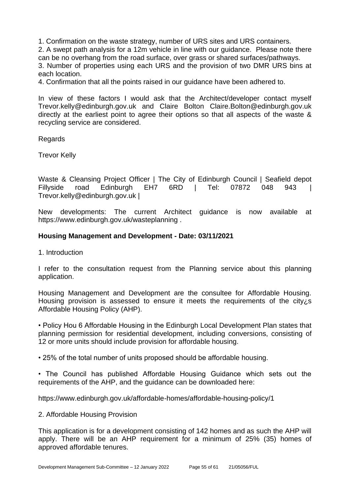1. Confirmation on the waste strategy, number of URS sites and URS containers.

2. A swept path analysis for a 12m vehicle in line with our guidance. Please note there can be no overhang from the road surface, over grass or shared surfaces/pathways.

3. Number of properties using each URS and the provision of two DMR URS bins at each location.

4. Confirmation that all the points raised in our guidance have been adhered to.

In view of these factors I would ask that the Architect/developer contact myself Trevor.kelly@edinburgh.gov.uk and Claire Bolton Claire.Bolton@edinburgh.gov.uk directly at the earliest point to agree their options so that all aspects of the waste & recycling service are considered.

**Regards** 

Trevor Kelly

Waste & Cleansing Project Officer | The City of Edinburgh Council | Seafield depot Fillyside road Edinburgh EH7 6RD | Tel: 07872 048 943 Trevor.kelly@edinburgh.gov.uk |

New developments: The current Architect guidance is now available at https://www.edinburgh.gov.uk/wasteplanning .

# **Housing Management and Development - Date: 03/11/2021**

1. Introduction

I refer to the consultation request from the Planning service about this planning application.

Housing Management and Development are the consultee for Affordable Housing. Housing provision is assessed to ensure it meets the requirements of the city $i$ s Affordable Housing Policy (AHP).

• Policy Hou 6 Affordable Housing in the Edinburgh Local Development Plan states that planning permission for residential development, including conversions, consisting of 12 or more units should include provision for affordable housing.

• 25% of the total number of units proposed should be affordable housing.

• The Council has published Affordable Housing Guidance which sets out the requirements of the AHP, and the guidance can be downloaded here:

https://www.edinburgh.gov.uk/affordable-homes/affordable-housing-policy/1

# 2. Affordable Housing Provision

This application is for a development consisting of 142 homes and as such the AHP will apply. There will be an AHP requirement for a minimum of 25% (35) homes of approved affordable tenures.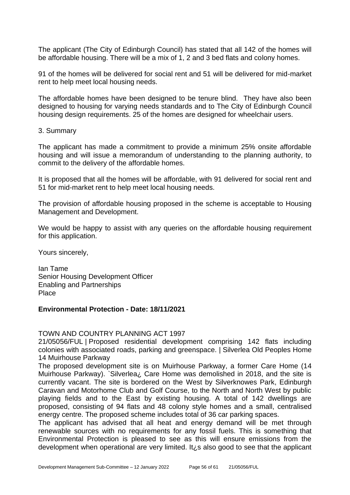The applicant (The City of Edinburgh Council) has stated that all 142 of the homes will be affordable housing. There will be a mix of 1, 2 and 3 bed flats and colony homes.

91 of the homes will be delivered for social rent and 51 will be delivered for mid-market rent to help meet local housing needs.

The affordable homes have been designed to be tenure blind. They have also been designed to housing for varying needs standards and to The City of Edinburgh Council housing design requirements. 25 of the homes are designed for wheelchair users.

#### 3. Summary

The applicant has made a commitment to provide a minimum 25% onsite affordable housing and will issue a memorandum of understanding to the planning authority, to commit to the delivery of the affordable homes.

It is proposed that all the homes will be affordable, with 91 delivered for social rent and 51 for mid-market rent to help meet local housing needs.

The provision of affordable housing proposed in the scheme is acceptable to Housing Management and Development.

We would be happy to assist with any queries on the affordable housing requirement for this application.

Yours sincerely,

Ian Tame Senior Housing Development Officer Enabling and Partnerships **Place** 

# **Environmental Protection - Date: 18/11/2021**

# TOWN AND COUNTRY PLANNING ACT 1997

21/05056/FUL | Proposed residential development comprising 142 flats including colonies with associated roads, parking and greenspace. | Silverlea Old Peoples Home 14 Muirhouse Parkway

The proposed development site is on Muirhouse Parkway, a former Care Home (14 Muirhouse Parkway). `Silverlea¿ Care Home was demolished in 2018, and the site is currently vacant. The site is bordered on the West by Silverknowes Park, Edinburgh Caravan and Motorhome Club and Golf Course, to the North and North West by public playing fields and to the East by existing housing. A total of 142 dwellings are proposed, consisting of 94 flats and 48 colony style homes and a small, centralised energy centre. The proposed scheme includes total of 36 car parking spaces.

The applicant has advised that all heat and energy demand will be met through renewable sources with no requirements for any fossil fuels. This is something that Environmental Protection is pleased to see as this will ensure emissions from the development when operational are very limited. It¿s also good to see that the applicant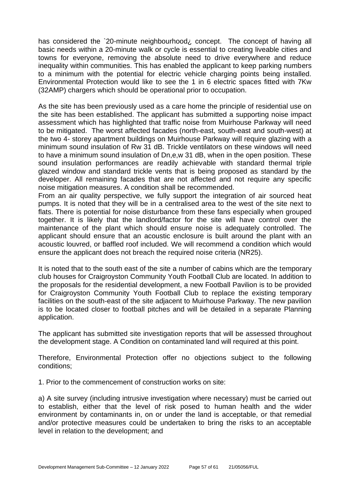has considered the `20-minute neighbourhood¿ concept. The concept of having all basic needs within a 20-minute walk or cycle is essential to creating liveable cities and towns for everyone, removing the absolute need to drive everywhere and reduce inequality within communities. This has enabled the applicant to keep parking numbers to a minimum with the potential for electric vehicle charging points being installed. Environmental Protection would like to see the 1 in 6 electric spaces fitted with 7Kw (32AMP) chargers which should be operational prior to occupation.

As the site has been previously used as a care home the principle of residential use on the site has been established. The applicant has submitted a supporting noise impact assessment which has highlighted that traffic noise from Muirhouse Parkway will need to be mitigated. The worst affected facades (north-east, south-east and south-west) at the two 4- storey apartment buildings on Muirhouse Parkway will require glazing with a minimum sound insulation of Rw 31 dB. Trickle ventilators on these windows will need to have a minimum sound insulation of Dn,e,w 31 dB, when in the open position. These sound insulation performances are readily achievable with standard thermal triple glazed window and standard trickle vents that is being proposed as standard by the developer. All remaining facades that are not affected and not require any specific noise mitigation measures. A condition shall be recommended.

From an air quality perspective, we fully support the integration of air sourced heat pumps. It is noted that they will be in a centralised area to the west of the site next to flats. There is potential for noise disturbance from these fans especially when grouped together. It is likely that the landlord/factor for the site will have control over the maintenance of the plant which should ensure noise is adequately controlled. The applicant should ensure that an acoustic enclosure is built around the plant with an acoustic louvred, or baffled roof included. We will recommend a condition which would ensure the applicant does not breach the required noise criteria (NR25).

It is noted that to the south east of the site a number of cabins which are the temporary club houses for Craigroyston Community Youth Football Club are located. In addition to the proposals for the residential development, a new Football Pavilion is to be provided for Craigroyston Community Youth Football Club to replace the existing temporary facilities on the south-east of the site adjacent to Muirhouse Parkway. The new pavilion is to be located closer to football pitches and will be detailed in a separate Planning application.

The applicant has submitted site investigation reports that will be assessed throughout the development stage. A Condition on contaminated land will required at this point.

Therefore, Environmental Protection offer no objections subject to the following conditions;

1. Prior to the commencement of construction works on site:

a) A site survey (including intrusive investigation where necessary) must be carried out to establish, either that the level of risk posed to human health and the wider environment by contaminants in, on or under the land is acceptable, or that remedial and/or protective measures could be undertaken to bring the risks to an acceptable level in relation to the development; and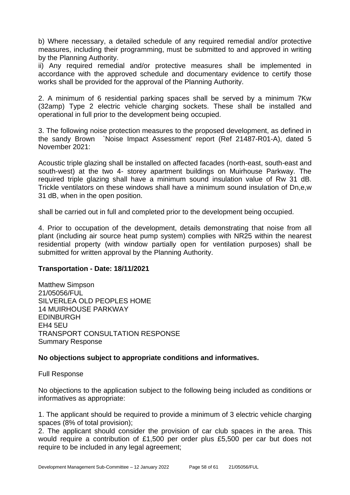b) Where necessary, a detailed schedule of any required remedial and/or protective measures, including their programming, must be submitted to and approved in writing by the Planning Authority.

ii) Any required remedial and/or protective measures shall be implemented in accordance with the approved schedule and documentary evidence to certify those works shall be provided for the approval of the Planning Authority.

2. A minimum of 6 residential parking spaces shall be served by a minimum 7Kw (32amp) Type 2 electric vehicle charging sockets. These shall be installed and operational in full prior to the development being occupied.

3. The following noise protection measures to the proposed development, as defined in the sandy Brown `Noise Impact Assessment' report (Ref 21487-R01-A), dated 5 November 2021:

Acoustic triple glazing shall be installed on affected facades (north-east, south-east and south-west) at the two 4- storey apartment buildings on Muirhouse Parkway. The required triple glazing shall have a minimum sound insulation value of Rw 31 dB. Trickle ventilators on these windows shall have a minimum sound insulation of Dn,e,w 31 dB, when in the open position.

shall be carried out in full and completed prior to the development being occupied.

4. Prior to occupation of the development, details demonstrating that noise from all plant (including air source heat pump system) complies with NR25 within the nearest residential property (with window partially open for ventilation purposes) shall be submitted for written approval by the Planning Authority.

#### **Transportation - Date: 18/11/2021**

Matthew Simpson 21/05056/FUL SILVERLEA OLD PEOPLES HOME 14 MUIRHOUSE PARKWAY EDINBURGH EH4 5EU TRANSPORT CONSULTATION RESPONSE Summary Response

# **No objections subject to appropriate conditions and informatives.**

Full Response

No objections to the application subject to the following being included as conditions or informatives as appropriate:

1. The applicant should be required to provide a minimum of 3 electric vehicle charging spaces (8% of total provision);

2. The applicant should consider the provision of car club spaces in the area. This would require a contribution of £1,500 per order plus £5,500 per car but does not require to be included in any legal agreement;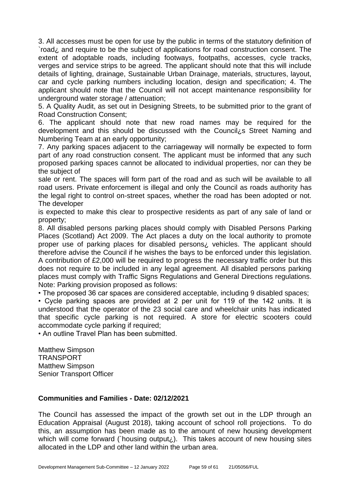3. All accesses must be open for use by the public in terms of the statutory definition of `road¿ and require to be the subject of applications for road construction consent. The extent of adoptable roads, including footways, footpaths, accesses, cycle tracks, verges and service strips to be agreed. The applicant should note that this will include details of lighting, drainage, Sustainable Urban Drainage, materials, structures, layout, car and cycle parking numbers including location, design and specification; 4. The applicant should note that the Council will not accept maintenance responsibility for underground water storage / attenuation;

5. A Quality Audit, as set out in Designing Streets, to be submitted prior to the grant of Road Construction Consent;

6. The applicant should note that new road names may be required for the development and this should be discussed with the Council¿s Street Naming and Numbering Team at an early opportunity;

7. Any parking spaces adjacent to the carriageway will normally be expected to form part of any road construction consent. The applicant must be informed that any such proposed parking spaces cannot be allocated to individual properties, nor can they be the subject of

sale or rent. The spaces will form part of the road and as such will be available to all road users. Private enforcement is illegal and only the Council as roads authority has the legal right to control on-street spaces, whether the road has been adopted or not. The developer

is expected to make this clear to prospective residents as part of any sale of land or property;

8. All disabled persons parking places should comply with Disabled Persons Parking Places (Scotland) Act 2009. The Act places a duty on the local authority to promote proper use of parking places for disabled persons¿ vehicles. The applicant should therefore advise the Council if he wishes the bays to be enforced under this legislation. A contribution of £2,000 will be required to progress the necessary traffic order but this does not require to be included in any legal agreement. All disabled persons parking places must comply with Traffic Signs Regulations and General Directions regulations. Note: Parking provision proposed as follows:

• The proposed 36 car spaces are considered acceptable, including 9 disabled spaces;

• Cycle parking spaces are provided at 2 per unit for 119 of the 142 units. It is understood that the operator of the 23 social care and wheelchair units has indicated that specific cycle parking is not required. A store for electric scooters could accommodate cycle parking if required;

• An outline Travel Plan has been submitted.

Matthew Simpson **TRANSPORT** Matthew Simpson Senior Transport Officer

# **Communities and Families - Date: 02/12/2021**

The Council has assessed the impact of the growth set out in the LDP through an Education Appraisal (August 2018), taking account of school roll projections. To do this, an assumption has been made as to the amount of new housing development which will come forward (`housing output $\lambda$ ). This takes account of new housing sites allocated in the LDP and other land within the urban area.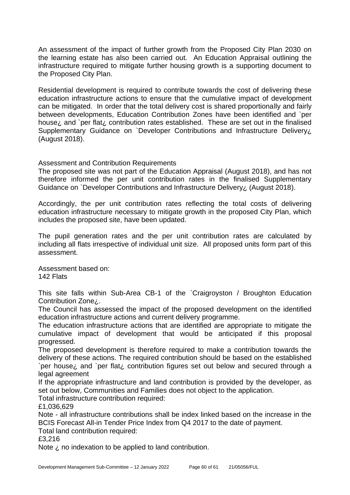An assessment of the impact of further growth from the Proposed City Plan 2030 on the learning estate has also been carried out. An Education Appraisal outlining the infrastructure required to mitigate further housing growth is a supporting document to the Proposed City Plan.

Residential development is required to contribute towards the cost of delivering these education infrastructure actions to ensure that the cumulative impact of development can be mitigated. In order that the total delivery cost is shared proportionally and fairly between developments, Education Contribution Zones have been identified and `per house¿ and `per flat¿ contribution rates established. These are set out in the finalised Supplementary Guidance on `Developer Contributions and Infrastructure Delivery, (August 2018).

#### Assessment and Contribution Requirements

The proposed site was not part of the Education Appraisal (August 2018), and has not therefore informed the per unit contribution rates in the finalised Supplementary Guidance on `Developer Contributions and Infrastructure Delivery¿ (August 2018).

Accordingly, the per unit contribution rates reflecting the total costs of delivering education infrastructure necessary to mitigate growth in the proposed City Plan, which includes the proposed site, have been updated.

The pupil generation rates and the per unit contribution rates are calculated by including all flats irrespective of individual unit size. All proposed units form part of this assessment.

Assessment based on: 142 Flats

This site falls within Sub-Area CB-1 of the `Craigroyston / Broughton Education Contribution Zone¿.

The Council has assessed the impact of the proposed development on the identified education infrastructure actions and current delivery programme.

The education infrastructure actions that are identified are appropriate to mitigate the cumulative impact of development that would be anticipated if this proposal progressed.

The proposed development is therefore required to make a contribution towards the delivery of these actions. The required contribution should be based on the established `per house¿ and `per flat¿ contribution figures set out below and secured through a legal agreement

If the appropriate infrastructure and land contribution is provided by the developer, as set out below, Communities and Families does not object to the application.

Total infrastructure contribution required:

£1,036,629

Note - all infrastructure contributions shall be index linked based on the increase in the BCIS Forecast All-in Tender Price Index from Q4 2017 to the date of payment.

Total land contribution required:

£3,216

Note  $\lambda$  no indexation to be applied to land contribution.